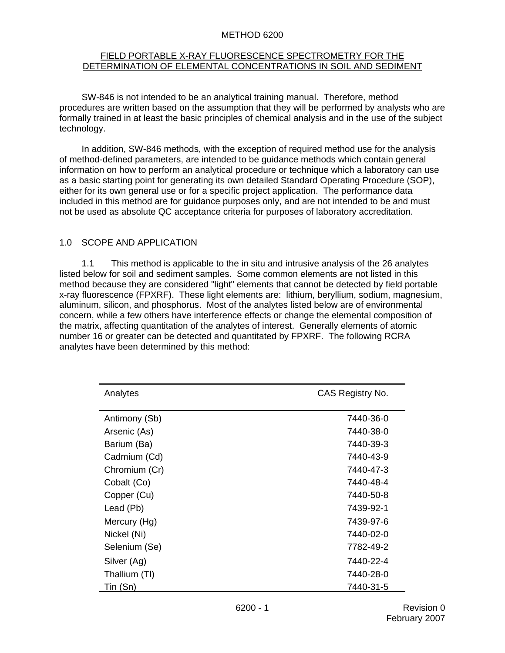#### METHOD 6200

#### FIELD PORTABLE X-RAY FLUORESCENCE SPECTROMETRY FOR THE DETERMINATION OF ELEMENTAL CONCENTRATIONS IN SOIL AND SEDIMENT

SW-846 is not intended to be an analytical training manual. Therefore, method procedures are written based on the assumption that they will be performed by analysts who are formally trained in at least the basic principles of chemical analysis and in the use of the subject technology.

In addition, SW-846 methods, with the exception of required method use for the analysis of method-defined parameters, are intended to be guidance methods which contain general information on how to perform an analytical procedure or technique which a laboratory can use as a basic starting point for generating its own detailed Standard Operating Procedure (SOP), either for its own general use or for a specific project application. The performance data included in this method are for guidance purposes only, and are not intended to be and must not be used as absolute QC acceptance criteria for purposes of laboratory accreditation.

#### 1.0 SCOPE AND APPLICATION

1.1 This method is applicable to the in situ and intrusive analysis of the 26 analytes listed below for soil and sediment samples. Some common elements are not listed in this method because they are considered "light" elements that cannot be detected by field portable x-ray fluorescence (FPXRF). These light elements are: lithium, beryllium, sodium, magnesium, aluminum, silicon, and phosphorus. Most of the analytes listed below are of environmental concern, while a few others have interference effects or change the elemental composition of the matrix, affecting quantitation of the analytes of interest. Generally elements of atomic number 16 or greater can be detected and quantitated by FPXRF. The following RCRA analytes have been determined by this method:

| Analytes      | CAS Registry No. |
|---------------|------------------|
| Antimony (Sb) | 7440-36-0        |
| Arsenic (As)  | 7440-38-0        |
| Barium (Ba)   | 7440-39-3        |
| Cadmium (Cd)  | 7440-43-9        |
| Chromium (Cr) | 7440-47-3        |
| Cobalt (Co)   | 7440-48-4        |
| Copper (Cu)   | 7440-50-8        |
| Lead (Pb)     | 7439-92-1        |
| Mercury (Hg)  | 7439-97-6        |
| Nickel (Ni)   | 7440-02-0        |
| Selenium (Se) | 7782-49-2        |
| Silver (Ag)   | 7440-22-4        |
| Thallium (TI) | 7440-28-0        |
| Tin (Sn)      | 7440-31-5        |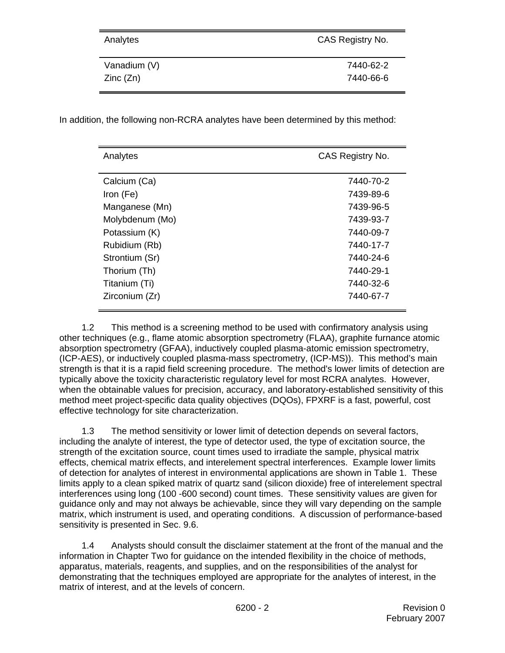| Analytes     | CAS Registry No. |
|--------------|------------------|
| Vanadium (V) | 7440-62-2        |
| Zinc(Zn)     | 7440-66-6        |

In addition, the following non-RCRA analytes have been determined by this method:

| Analytes        | CAS Registry No. |  |  |  |  |  |
|-----------------|------------------|--|--|--|--|--|
|                 |                  |  |  |  |  |  |
| Calcium (Ca)    | 7440-70-2        |  |  |  |  |  |
| Iron (Fe)       | 7439-89-6        |  |  |  |  |  |
| Manganese (Mn)  | 7439-96-5        |  |  |  |  |  |
| Molybdenum (Mo) | 7439-93-7        |  |  |  |  |  |
| Potassium (K)   | 7440-09-7        |  |  |  |  |  |
| Rubidium (Rb)   | 7440-17-7        |  |  |  |  |  |
| Strontium (Sr)  | 7440-24-6        |  |  |  |  |  |
| Thorium (Th)    | 7440-29-1        |  |  |  |  |  |
| Titanium (Ti)   | 7440-32-6        |  |  |  |  |  |
| Zirconium (Zr)  | 7440-67-7        |  |  |  |  |  |
|                 |                  |  |  |  |  |  |

1.2 This method is a screening method to be used with confirmatory analysis using other techniques (e.g., flame atomic absorption spectrometry (FLAA), graphite furnance atomic absorption spectrometry (GFAA), inductively coupled plasma-atomic emission spectrometry, (ICP-AES), or inductively coupled plasma-mass spectrometry, (ICP-MS)). This method's main strength is that it is a rapid field screening procedure. The method's lower limits of detection are typically above the toxicity characteristic regulatory level for most RCRA analytes. However, when the obtainable values for precision, accuracy, and laboratory-established sensitivity of this method meet project-specific data quality objectives (DQOs), FPXRF is a fast, powerful, cost effective technology for site characterization.

1.3 The method sensitivity or lower limit of detection depends on several factors, including the analyte of interest, the type of detector used, the type of excitation source, the strength of the excitation source, count times used to irradiate the sample, physical matrix effects, chemical matrix effects, and interelement spectral interferences. Example lower limits of detection for analytes of interest in environmental applications are shown in Table 1. These limits apply to a clean spiked matrix of quartz sand (silicon dioxide) free of interelement spectral interferences using long (100 -600 second) count times. These sensitivity values are given for guidance only and may not always be achievable, since they will vary depending on the sample matrix, which instrument is used, and operating conditions. A discussion of performance-based sensitivity is presented in Sec. 9.6.

1.4 Analysts should consult the disclaimer statement at the front of the manual and the information in Chapter Two for guidance on the intended flexibility in the choice of methods, apparatus, materials, reagents, and supplies, and on the responsibilities of the analyst for demonstrating that the techniques employed are appropriate for the analytes of interest, in the matrix of interest, and at the levels of concern.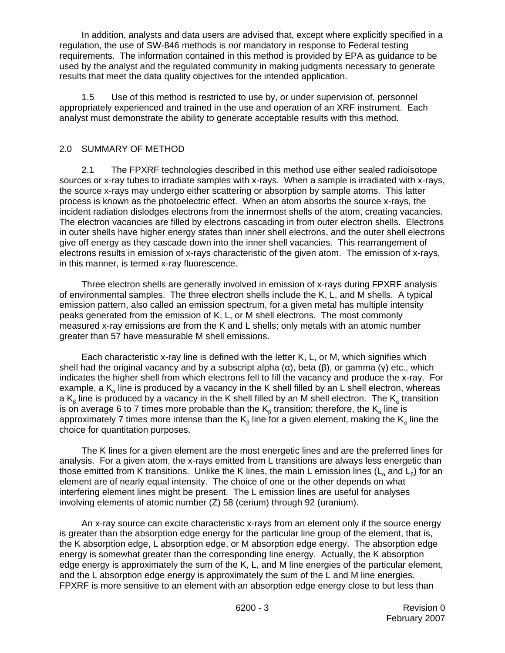In addition, analysts and data users are advised that, except where explicitly specified in a regulation, the use of SW-846 methods is *not* mandatory in response to Federal testing requirements. The information contained in this method is provided by EPA as guidance to be used by the analyst and the regulated community in making judgments necessary to generate results that meet the data quality objectives for the intended application.

1.5 Use of this method is restricted to use by, or under supervision of, personnel appropriately experienced and trained in the use and operation of an XRF instrument. Each analyst must demonstrate the ability to generate acceptable results with this method.

## 2.0 SUMMARY OF METHOD

2.1 The FPXRF technologies described in this method use either sealed radioisotope sources or x-ray tubes to irradiate samples with x-rays. When a sample is irradiated with x-rays, the source x-rays may undergo either scattering or absorption by sample atoms. This latter process is known as the photoelectric effect. When an atom absorbs the source x-rays, the incident radiation dislodges electrons from the innermost shells of the atom, creating vacancies. The electron vacancies are filled by electrons cascading in from outer electron shells. Electrons in outer shells have higher energy states than inner shell electrons, and the outer shell electrons give off energy as they cascade down into the inner shell vacancies. This rearrangement of electrons results in emission of x-rays characteristic of the given atom. The emission of x-rays, in this manner, is termed x-ray fluorescence.

Three electron shells are generally involved in emission of x-rays during FPXRF analysis of environmental samples. The three electron shells include the K, L, and M shells. A typical emission pattern, also called an emission spectrum, for a given metal has multiple intensity peaks generated from the emission of K, L, or M shell electrons. The most commonly measured x-ray emissions are from the K and L shells; only metals with an atomic number greater than 57 have measurable M shell emissions.

Each characteristic x-ray line is defined with the letter K, L, or M, which signifies which shell had the original vacancy and by a subscript alpha  $(\alpha)$ , beta  $(\beta)$ , or gamma  $(\gamma)$  etc., which indicates the higher shell from which electrons fell to fill the vacancy and produce the x-ray. For example, a  $K_{\alpha}$  line is produced by a vacancy in the K shell filled by an L shell electron, whereas a K<sub>β</sub> line is produced by a vacancy in the K shell filled by an M shell electron. The K<sub>α</sub> transition is on average 6 to 7 times more probable than the  $\mathsf{K}_\mathsf{g}$  transition; therefore, the  $\mathsf{K}_\mathsf{a}$  line is approximately 7 times more intense than the  $\mathsf{K}_\mathsf{g}$  line for a given element, making the  $\mathsf{K}_\mathsf{a}$  line the choice for quantitation purposes.

The K lines for a given element are the most energetic lines and are the preferred lines for analysis. For a given atom, the x-rays emitted from L transitions are always less energetic than those emitted from K transitions. Unlike the K lines, the main L emission lines (L<sub>α</sub> and L<sub>β</sub>) for an element are of nearly equal intensity. The choice of one or the other depends on what interfering element lines might be present. The L emission lines are useful for analyses involving elements of atomic number (Z) 58 (cerium) through 92 (uranium).

An x-ray source can excite characteristic x-rays from an element only if the source energy is greater than the absorption edge energy for the particular line group of the element, that is, the K absorption edge, L absorption edge, or M absorption edge energy. The absorption edge energy is somewhat greater than the corresponding line energy. Actually, the K absorption edge energy is approximately the sum of the K, L, and M line energies of the particular element, and the L absorption edge energy is approximately the sum of the L and M line energies. FPXRF is more sensitive to an element with an absorption edge energy close to but less than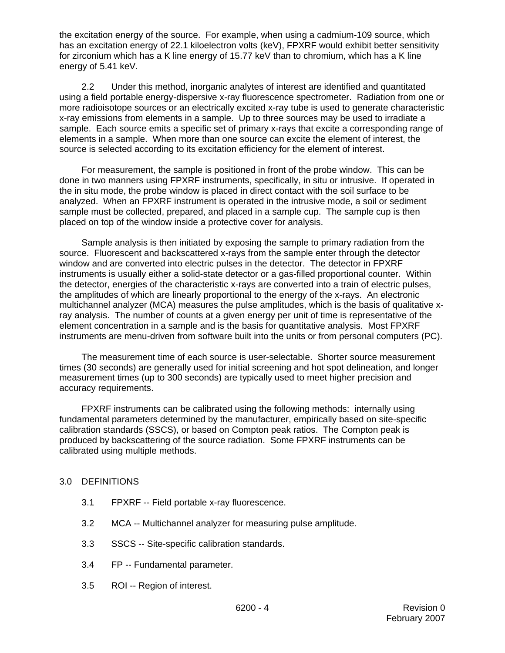the excitation energy of the source. For example, when using a cadmium-109 source, which has an excitation energy of 22.1 kiloelectron volts (keV), FPXRF would exhibit better sensitivity for zirconium which has a K line energy of 15.77 keV than to chromium, which has a K line energy of 5.41 keV.

2.2 Under this method, inorganic analytes of interest are identified and quantitated using a field portable energy-dispersive x-ray fluorescence spectrometer. Radiation from one or more radioisotope sources or an electrically excited x-ray tube is used to generate characteristic x-ray emissions from elements in a sample. Up to three sources may be used to irradiate a sample. Each source emits a specific set of primary x-rays that excite a corresponding range of elements in a sample. When more than one source can excite the element of interest, the source is selected according to its excitation efficiency for the element of interest.

For measurement, the sample is positioned in front of the probe window. This can be done in two manners using FPXRF instruments, specifically, in situ or intrusive. If operated in the in situ mode, the probe window is placed in direct contact with the soil surface to be analyzed. When an FPXRF instrument is operated in the intrusive mode, a soil or sediment sample must be collected, prepared, and placed in a sample cup. The sample cup is then placed on top of the window inside a protective cover for analysis.

Sample analysis is then initiated by exposing the sample to primary radiation from the source. Fluorescent and backscattered x-rays from the sample enter through the detector window and are converted into electric pulses in the detector. The detector in FPXRF instruments is usually either a solid-state detector or a gas-filled proportional counter. Within the detector, energies of the characteristic x-rays are converted into a train of electric pulses, the amplitudes of which are linearly proportional to the energy of the x-rays. An electronic multichannel analyzer (MCA) measures the pulse amplitudes, which is the basis of qualitative xray analysis. The number of counts at a given energy per unit of time is representative of the element concentration in a sample and is the basis for quantitative analysis. Most FPXRF instruments are menu-driven from software built into the units or from personal computers (PC).

The measurement time of each source is user-selectable. Shorter source measurement times (30 seconds) are generally used for initial screening and hot spot delineation, and longer measurement times (up to 300 seconds) are typically used to meet higher precision and accuracy requirements.

FPXRF instruments can be calibrated using the following methods: internally using fundamental parameters determined by the manufacturer, empirically based on site-specific calibration standards (SSCS), or based on Compton peak ratios. The Compton peak is produced by backscattering of the source radiation. Some FPXRF instruments can be calibrated using multiple methods.

# 3.0 DEFINITIONS

- 3.1 FPXRF -- Field portable x-ray fluorescence.
- 3.2 MCA -- Multichannel analyzer for measuring pulse amplitude.
- 3.3 SSCS -- Site-specific calibration standards.
- 3.4 FP -- Fundamental parameter.
- 3.5 ROI -- Region of interest.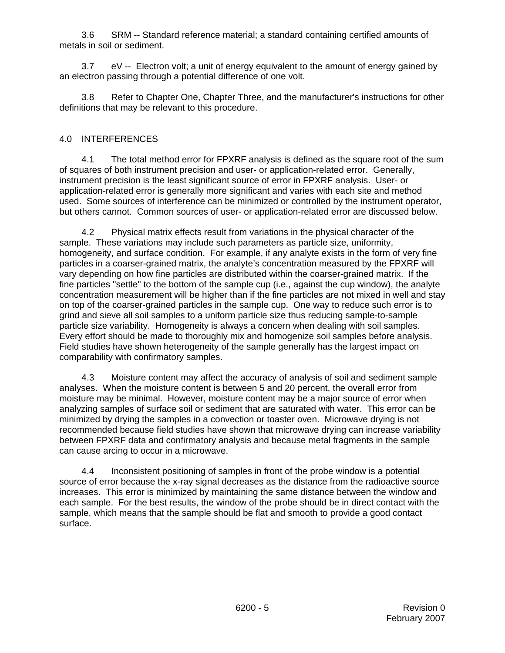3.6 SRM -- Standard reference material; a standard containing certified amounts of metals in soil or sediment.

3.7 eV -- Electron volt; a unit of energy equivalent to the amount of energy gained by an electron passing through a potential difference of one volt.

3.8 Refer to Chapter One, Chapter Three, and the manufacturer's instructions for other definitions that may be relevant to this procedure.

# 4.0 INTERFERENCES

4.1 The total method error for FPXRF analysis is defined as the square root of the sum of squares of both instrument precision and user- or application-related error. Generally, instrument precision is the least significant source of error in FPXRF analysis. User- or application-related error is generally more significant and varies with each site and method used. Some sources of interference can be minimized or controlled by the instrument operator, but others cannot. Common sources of user- or application-related error are discussed below.

4.2 Physical matrix effects result from variations in the physical character of the sample. These variations may include such parameters as particle size, uniformity, homogeneity, and surface condition. For example, if any analyte exists in the form of very fine particles in a coarser-grained matrix, the analyte's concentration measured by the FPXRF will vary depending on how fine particles are distributed within the coarser-grained matrix. If the fine particles "settle" to the bottom of the sample cup (i.e., against the cup window), the analyte concentration measurement will be higher than if the fine particles are not mixed in well and stay on top of the coarser-grained particles in the sample cup. One way to reduce such error is to grind and sieve all soil samples to a uniform particle size thus reducing sample-to-sample particle size variability. Homogeneity is always a concern when dealing with soil samples. Every effort should be made to thoroughly mix and homogenize soil samples before analysis. Field studies have shown heterogeneity of the sample generally has the largest impact on comparability with confirmatory samples.

4.3 Moisture content may affect the accuracy of analysis of soil and sediment sample analyses. When the moisture content is between 5 and 20 percent, the overall error from moisture may be minimal. However, moisture content may be a major source of error when analyzing samples of surface soil or sediment that are saturated with water. This error can be minimized by drying the samples in a convection or toaster oven. Microwave drying is not recommended because field studies have shown that microwave drying can increase variability between FPXRF data and confirmatory analysis and because metal fragments in the sample can cause arcing to occur in a microwave.

4.4 Inconsistent positioning of samples in front of the probe window is a potential source of error because the x-ray signal decreases as the distance from the radioactive source increases. This error is minimized by maintaining the same distance between the window and each sample. For the best results, the window of the probe should be in direct contact with the sample, which means that the sample should be flat and smooth to provide a good contact surface.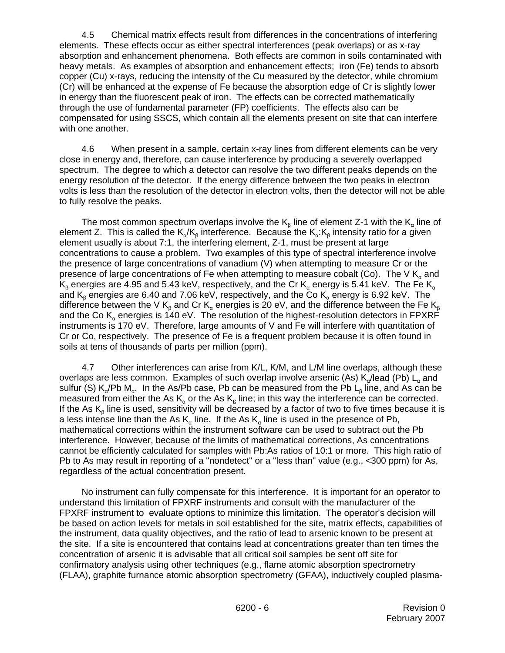4.5 Chemical matrix effects result from differences in the concentrations of interfering elements. These effects occur as either spectral interferences (peak overlaps) or as x-ray absorption and enhancement phenomena. Both effects are common in soils contaminated with heavy metals. As examples of absorption and enhancement effects; iron (Fe) tends to absorb copper (Cu) x-rays, reducing the intensity of the Cu measured by the detector, while chromium (Cr) will be enhanced at the expense of Fe because the absorption edge of Cr is slightly lower in energy than the fluorescent peak of iron. The effects can be corrected mathematically through the use of fundamental parameter (FP) coefficients. The effects also can be compensated for using SSCS, which contain all the elements present on site that can interfere with one another.

4.6 When present in a sample, certain x-ray lines from different elements can be very close in energy and, therefore, can cause interference by producing a severely overlapped spectrum. The degree to which a detector can resolve the two different peaks depends on the energy resolution of the detector. If the energy difference between the two peaks in electron volts is less than the resolution of the detector in electron volts, then the detector will not be able to fully resolve the peaks.

The most common spectrum overlaps involve the  $K<sub>g</sub>$  line of element Z-1 with the  $K<sub>g</sub>$  line of element Z. This is called the  $K_{\alpha}/K_{\beta}$  interference. Because the  $K_{\alpha}:K_{\beta}$  intensity ratio for a given element usually is about 7:1, the interfering element, Z-1, must be present at large concentrations to cause a problem. Two examples of this type of spectral interference involve the presence of large concentrations of vanadium (V) when attempting to measure Cr or the presence of large concentrations of Fe when attempting to measure cobalt (Co). The V  $K_a$  and  $K_{\beta}$  energies are 4.95 and 5.43 keV, respectively, and the Cr  $K_{\alpha}$  energy is 5.41 keV. The Fe  $K_{\alpha}$ and  $K<sub>β</sub>$  energies are 6.40 and 7.06 keV, respectively, and the Co  $K<sub>α</sub>$  energy is 6.92 keV. The difference between the V K<sub>B</sub> and Cr K<sub>α</sub> energies is 20 eV, and the difference between the Fe K<sub>B</sub> and the Co K<sub>a</sub> energies is 140 eV. The resolution of the highest-resolution detectors in FPXRF instruments is 170 eV. Therefore, large amounts of V and Fe will interfere with quantitation of Cr or Co, respectively. The presence of Fe is a frequent problem because it is often found in soils at tens of thousands of parts per million (ppm).

4.7 Other interferences can arise from K/L, K/M, and L/M line overlaps, although these overlaps are less common. Examples of such overlap involve arsenic (As) K<sub>a</sub>/lead (Pb) L<sub>a</sub> and sulfur (S) K<sub>α</sub>/Pb M<sub>α</sub>. In the As/Pb case, Pb can be measured from the Pb L<sub>β</sub> line, and As can be measured from either the As  $K_{\alpha}$  or the As  $K_{\beta}$  line; in this way the interference can be corrected. If the As  $K<sub>8</sub>$  line is used, sensitivity will be decreased by a factor of two to five times because it is a less intense line than the As  $K_a$  line. If the As  $K_a$  line is used in the presence of Pb, mathematical corrections within the instrument software can be used to subtract out the Pb interference. However, because of the limits of mathematical corrections, As concentrations cannot be efficiently calculated for samples with Pb:As ratios of 10:1 or more. This high ratio of Pb to As may result in reporting of a "nondetect" or a "less than" value (e.g., <300 ppm) for As, regardless of the actual concentration present.

No instrument can fully compensate for this interference. It is important for an operator to understand this limitation of FPXRF instruments and consult with the manufacturer of the FPXRF instrument to evaluate options to minimize this limitation. The operator's decision will be based on action levels for metals in soil established for the site, matrix effects, capabilities of the instrument, data quality objectives, and the ratio of lead to arsenic known to be present at the site. If a site is encountered that contains lead at concentrations greater than ten times the concentration of arsenic it is advisable that all critical soil samples be sent off site for confirmatory analysis using other techniques (e.g., flame atomic absorption spectrometry (FLAA), graphite furnance atomic absorption spectrometry (GFAA), inductively coupled plasma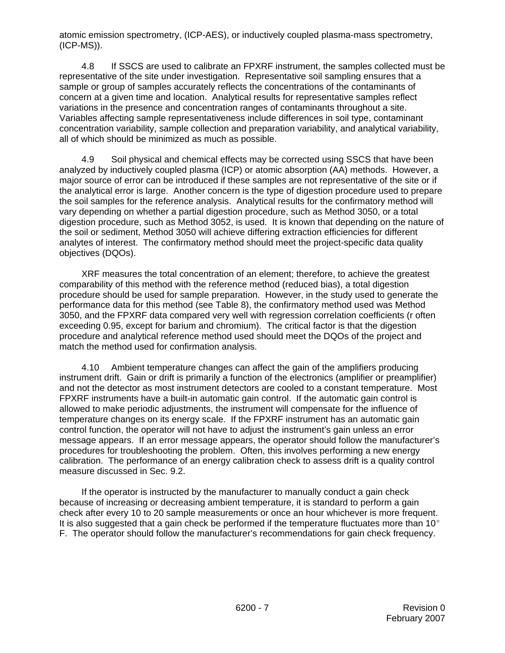atomic emission spectrometry, (ICP-AES), or inductively coupled plasma-mass spectrometry, (ICP-MS)).

4.8 If SSCS are used to calibrate an FPXRF instrument, the samples collected must be representative of the site under investigation. Representative soil sampling ensures that a sample or group of samples accurately reflects the concentrations of the contaminants of concern at a given time and location. Analytical results for representative samples reflect variations in the presence and concentration ranges of contaminants throughout a site. Variables affecting sample representativeness include differences in soil type, contaminant concentration variability, sample collection and preparation variability, and analytical variability, all of which should be minimized as much as possible.

4.9 Soil physical and chemical effects may be corrected using SSCS that have been analyzed by inductively coupled plasma (ICP) or atomic absorption (AA) methods. However, a major source of error can be introduced if these samples are not representative of the site or if the analytical error is large. Another concern is the type of digestion procedure used to prepare the soil samples for the reference analysis. Analytical results for the confirmatory method will vary depending on whether a partial digestion procedure, such as Method 3050, or a total digestion procedure, such as Method 3052, is used. It is known that depending on the nature of the soil or sediment, Method 3050 will achieve differing extraction efficiencies for different analytes of interest. The confirmatory method should meet the project-specific data quality objectives (DQOs).

XRF measures the total concentration of an element; therefore, to achieve the greatest comparability of this method with the reference method (reduced bias), a total digestion procedure should be used for sample preparation. However, in the study used to generate the performance data for this method (see Table 8), the confirmatory method used was Method 3050, and the FPXRF data compared very well with regression correlation coefficients (r often exceeding 0.95, except for barium and chromium). The critical factor is that the digestion procedure and analytical reference method used should meet the DQOs of the project and match the method used for confirmation analysis.

4.10 Ambient temperature changes can affect the gain of the amplifiers producing instrument drift. Gain or drift is primarily a function of the electronics (amplifier or preamplifier) and not the detector as most instrument detectors are cooled to a constant temperature. Most FPXRF instruments have a built-in automatic gain control. If the automatic gain control is allowed to make periodic adjustments, the instrument will compensate for the influence of temperature changes on its energy scale. If the FPXRF instrument has an automatic gain control function, the operator will not have to adjust the instrument's gain unless an error message appears. If an error message appears, the operator should follow the manufacturer's procedures for troubleshooting the problem. Often, this involves performing a new energy calibration. The performance of an energy calibration check to assess drift is a quality control measure discussed in Sec. 9.2.

If the operator is instructed by the manufacturer to manually conduct a gain check because of increasing or decreasing ambient temperature, it is standard to perform a gain check after every 10 to 20 sample measurements or once an hour whichever is more frequent. It is also suggested that a gain check be performed if the temperature fluctuates more than 10 $^{\circ}$ F. The operator should follow the manufacturer's recommendations for gain check frequency.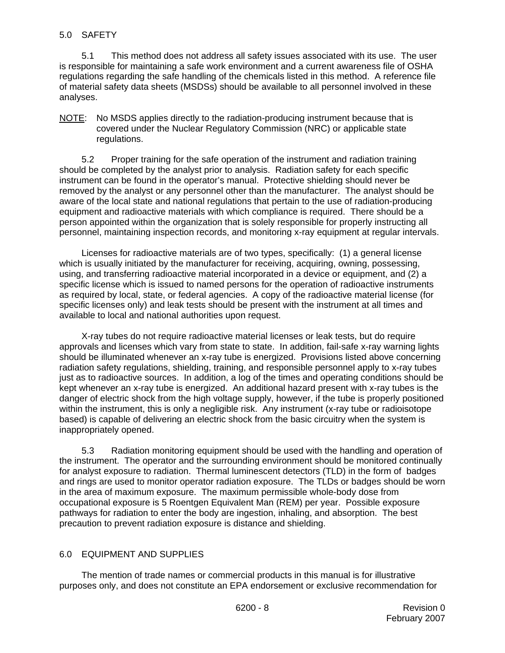### 5.0 SAFETY

5.1 This method does not address all safety issues associated with its use. The user is responsible for maintaining a safe work environment and a current awareness file of OSHA regulations regarding the safe handling of the chemicals listed in this method. A reference file of material safety data sheets (MSDSs) should be available to all personnel involved in these analyses.

NOTE: No MSDS applies directly to the radiation-producing instrument because that is covered under the Nuclear Regulatory Commission (NRC) or applicable state regulations.

5.2 Proper training for the safe operation of the instrument and radiation training should be completed by the analyst prior to analysis. Radiation safety for each specific instrument can be found in the operator's manual. Protective shielding should never be removed by the analyst or any personnel other than the manufacturer. The analyst should be aware of the local state and national regulations that pertain to the use of radiation-producing equipment and radioactive materials with which compliance is required. There should be a person appointed within the organization that is solely responsible for properly instructing all personnel, maintaining inspection records, and monitoring x-ray equipment at regular intervals.

Licenses for radioactive materials are of two types, specifically: (1) a general license which is usually initiated by the manufacturer for receiving, acquiring, owning, possessing, using, and transferring radioactive material incorporated in a device or equipment, and (2) a specific license which is issued to named persons for the operation of radioactive instruments as required by local, state, or federal agencies. A copy of the radioactive material license (for specific licenses only) and leak tests should be present with the instrument at all times and available to local and national authorities upon request.

X-ray tubes do not require radioactive material licenses or leak tests, but do require approvals and licenses which vary from state to state. In addition, fail-safe x-ray warning lights should be illuminated whenever an x-ray tube is energized. Provisions listed above concerning radiation safety regulations, shielding, training, and responsible personnel apply to x-ray tubes just as to radioactive sources. In addition, a log of the times and operating conditions should be kept whenever an x-ray tube is energized. An additional hazard present with x-ray tubes is the danger of electric shock from the high voltage supply, however, if the tube is properly positioned within the instrument, this is only a negligible risk. Any instrument (x-ray tube or radioisotope based) is capable of delivering an electric shock from the basic circuitry when the system is inappropriately opened.

5.3 Radiation monitoring equipment should be used with the handling and operation of the instrument. The operator and the surrounding environment should be monitored continually for analyst exposure to radiation. Thermal luminescent detectors (TLD) in the form of badges and rings are used to monitor operator radiation exposure. The TLDs or badges should be worn in the area of maximum exposure. The maximum permissible whole-body dose from occupational exposure is 5 Roentgen Equivalent Man (REM) per year. Possible exposure pathways for radiation to enter the body are ingestion, inhaling, and absorption. The best precaution to prevent radiation exposure is distance and shielding.

# 6.0 EQUIPMENT AND SUPPLIES

The mention of trade names or commercial products in this manual is for illustrative purposes only, and does not constitute an EPA endorsement or exclusive recommendation for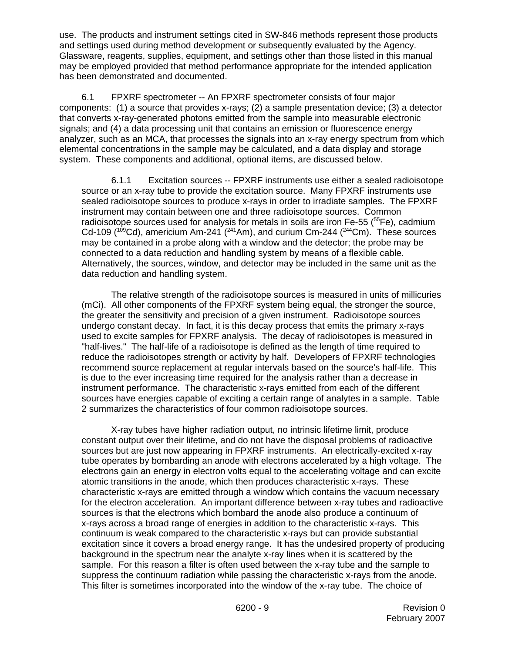use. The products and instrument settings cited in SW-846 methods represent those products and settings used during method development or subsequently evaluated by the Agency. Glassware, reagents, supplies, equipment, and settings other than those listed in this manual may be employed provided that method performance appropriate for the intended application has been demonstrated and documented.

6.1 FPXRF spectrometer -- An FPXRF spectrometer consists of four major components: (1) a source that provides x-rays; (2) a sample presentation device; (3) a detector that converts x-ray-generated photons emitted from the sample into measurable electronic signals; and (4) a data processing unit that contains an emission or fluorescence energy analyzer, such as an MCA, that processes the signals into an x-ray energy spectrum from which elemental concentrations in the sample may be calculated, and a data display and storage system. These components and additional, optional items, are discussed below.

6.1.1 Excitation sources -- FPXRF instruments use either a sealed radioisotope source or an x-ray tube to provide the excitation source. Many FPXRF instruments use sealed radioisotope sources to produce x-rays in order to irradiate samples. The FPXRF instrument may contain between one and three radioisotope sources. Common radioisotope sources used for analysis for metals in soils are iron Fe-55 ( $55$ Fe), cadmium Cd-109 ( $109$ <sup>c)</sup>Cd), americium Am-241 ( $241$ Am), and curium Cm-244 ( $244$ Cm). These sources may be contained in a probe along with a window and the detector; the probe may be connected to a data reduction and handling system by means of a flexible cable. Alternatively, the sources, window, and detector may be included in the same unit as the data reduction and handling system.

The relative strength of the radioisotope sources is measured in units of millicuries (mCi). All other components of the FPXRF system being equal, the stronger the source, the greater the sensitivity and precision of a given instrument. Radioisotope sources undergo constant decay. In fact, it is this decay process that emits the primary x-rays used to excite samples for FPXRF analysis. The decay of radioisotopes is measured in "half-lives." The half-life of a radioisotope is defined as the length of time required to reduce the radioisotopes strength or activity by half. Developers of FPXRF technologies recommend source replacement at regular intervals based on the source's half-life. This is due to the ever increasing time required for the analysis rather than a decrease in instrument performance. The characteristic x-rays emitted from each of the different sources have energies capable of exciting a certain range of analytes in a sample. Table 2 summarizes the characteristics of four common radioisotope sources.

X-ray tubes have higher radiation output, no intrinsic lifetime limit, produce constant output over their lifetime, and do not have the disposal problems of radioactive sources but are just now appearing in FPXRF instruments. An electrically-excited x-ray tube operates by bombarding an anode with electrons accelerated by a high voltage. The electrons gain an energy in electron volts equal to the accelerating voltage and can excite atomic transitions in the anode, which then produces characteristic x-rays. These characteristic x-rays are emitted through a window which contains the vacuum necessary for the electron acceleration. An important difference between x-ray tubes and radioactive sources is that the electrons which bombard the anode also produce a continuum of x-rays across a broad range of energies in addition to the characteristic x-rays. This continuum is weak compared to the characteristic x-rays but can provide substantial excitation since it covers a broad energy range. It has the undesired property of producing background in the spectrum near the analyte x-ray lines when it is scattered by the sample. For this reason a filter is often used between the x-ray tube and the sample to suppress the continuum radiation while passing the characteristic x-rays from the anode. This filter is sometimes incorporated into the window of the x-ray tube. The choice of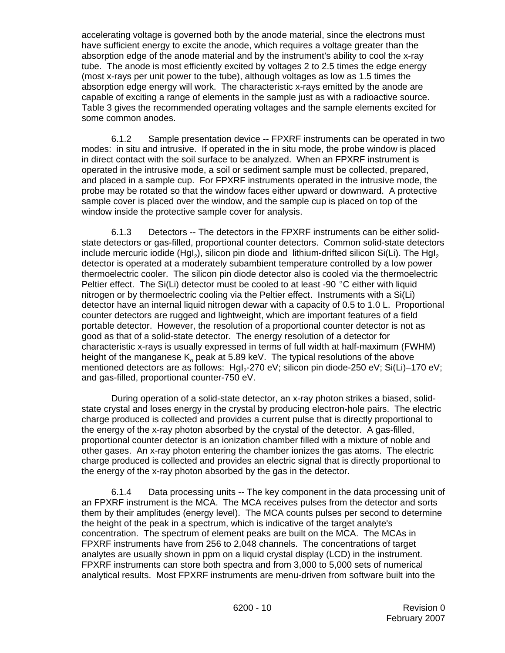accelerating voltage is governed both by the anode material, since the electrons must have sufficient energy to excite the anode, which requires a voltage greater than the absorption edge of the anode material and by the instrument's ability to cool the x-ray tube. The anode is most efficiently excited by voltages 2 to 2.5 times the edge energy (most x-rays per unit power to the tube), although voltages as low as 1.5 times the absorption edge energy will work. The characteristic x-rays emitted by the anode are capable of exciting a range of elements in the sample just as with a radioactive source. Table 3 gives the recommended operating voltages and the sample elements excited for some common anodes.

6.1.2 Sample presentation device -- FPXRF instruments can be operated in two modes: in situ and intrusive. If operated in the in situ mode, the probe window is placed in direct contact with the soil surface to be analyzed. When an FPXRF instrument is operated in the intrusive mode, a soil or sediment sample must be collected, prepared, and placed in a sample cup. For FPXRF instruments operated in the intrusive mode, the probe may be rotated so that the window faces either upward or downward. A protective sample cover is placed over the window, and the sample cup is placed on top of the window inside the protective sample cover for analysis.

6.1.3 Detectors -- The detectors in the FPXRF instruments can be either solidstate detectors or gas-filled, proportional counter detectors. Common solid-state detectors include mercuric iodide (HgI<sub>2</sub>), silicon pin diode and lithium-drifted silicon Si(Li). The HgI<sub>2</sub> detector is operated at a moderately subambient temperature controlled by a low power thermoelectric cooler. The silicon pin diode detector also is cooled via the thermoelectric Peltier effect. The Si(Li) detector must be cooled to at least -90  $^{\circ}$ C either with liquid nitrogen or by thermoelectric cooling via the Peltier effect. Instruments with a Si(Li) detector have an internal liquid nitrogen dewar with a capacity of 0.5 to 1.0 L. Proportional counter detectors are rugged and lightweight, which are important features of a field portable detector. However, the resolution of a proportional counter detector is not as good as that of a solid-state detector. The energy resolution of a detector for characteristic x-rays is usually expressed in terms of full width at half-maximum (FWHM) height of the manganese  $K_{\alpha}$  peak at 5.89 keV. The typical resolutions of the above mentioned detectors are as follows:  $Hgl<sub>2</sub>-270$  eV; silicon pin diode-250 eV; Si(Li)–170 eV; and gas-filled, proportional counter-750 eV.

During operation of a solid-state detector, an x-ray photon strikes a biased, solidstate crystal and loses energy in the crystal by producing electron-hole pairs. The electric charge produced is collected and provides a current pulse that is directly proportional to the energy of the x-ray photon absorbed by the crystal of the detector. A gas-filled, proportional counter detector is an ionization chamber filled with a mixture of noble and other gases. An x-ray photon entering the chamber ionizes the gas atoms. The electric charge produced is collected and provides an electric signal that is directly proportional to the energy of the x-ray photon absorbed by the gas in the detector.

6.1.4 Data processing units -- The key component in the data processing unit of an FPXRF instrument is the MCA. The MCA receives pulses from the detector and sorts them by their amplitudes (energy level). The MCA counts pulses per second to determine the height of the peak in a spectrum, which is indicative of the target analyte's concentration. The spectrum of element peaks are built on the MCA. The MCAs in FPXRF instruments have from 256 to 2,048 channels. The concentrations of target analytes are usually shown in ppm on a liquid crystal display (LCD) in the instrument. FPXRF instruments can store both spectra and from 3,000 to 5,000 sets of numerical analytical results. Most FPXRF instruments are menu-driven from software built into the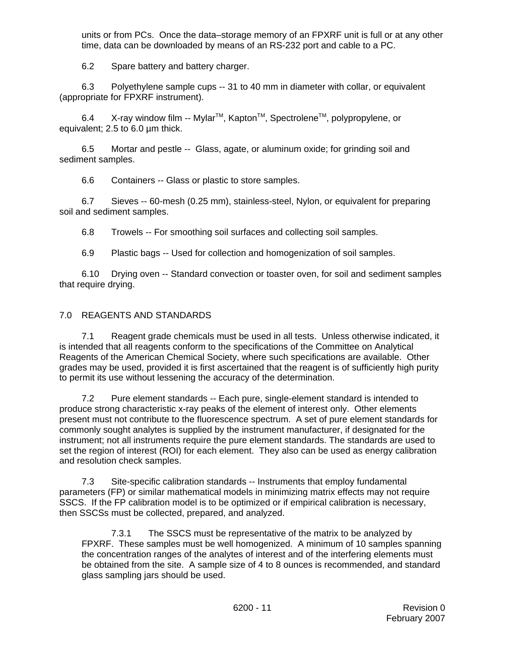units or from PCs. Once the data–storage memory of an FPXRF unit is full or at any other time, data can be downloaded by means of an RS-232 port and cable to a PC.

6.2 Spare battery and battery charger.

6.3 Polyethylene sample cups -- 31 to 40 mm in diameter with collar, or equivalent (appropriate for FPXRF instrument).

6.4 X-ray window film -- Mylar<sup>™</sup>, Kapton<sup>™</sup>, Spectrolene<sup>™</sup>, polypropylene, or equivalent: 2.5 to 6.0 um thick.

6.5 Mortar and pestle -- Glass, agate, or aluminum oxide; for grinding soil and sediment samples.

6.6 Containers -- Glass or plastic to store samples.

6.7 Sieves -- 60-mesh (0.25 mm), stainless-steel, Nylon, or equivalent for preparing soil and sediment samples.

6.8 Trowels -- For smoothing soil surfaces and collecting soil samples.

6.9 Plastic bags -- Used for collection and homogenization of soil samples.

6.10 Drying oven -- Standard convection or toaster oven, for soil and sediment samples that require drying.

### 7.0 REAGENTS AND STANDARDS

7.1 Reagent grade chemicals must be used in all tests. Unless otherwise indicated, it is intended that all reagents conform to the specifications of the Committee on Analytical Reagents of the American Chemical Society, where such specifications are available. Other grades may be used, provided it is first ascertained that the reagent is of sufficiently high purity to permit its use without lessening the accuracy of the determination.

7.2 Pure element standards -- Each pure, single-element standard is intended to produce strong characteristic x-ray peaks of the element of interest only. Other elements present must not contribute to the fluorescence spectrum. A set of pure element standards for commonly sought analytes is supplied by the instrument manufacturer, if designated for the instrument; not all instruments require the pure element standards. The standards are used to set the region of interest (ROI) for each element. They also can be used as energy calibration and resolution check samples.

7.3 Site-specific calibration standards -- Instruments that employ fundamental parameters (FP) or similar mathematical models in minimizing matrix effects may not require SSCS. If the FP calibration model is to be optimized or if empirical calibration is necessary, then SSCSs must be collected, prepared, and analyzed.

7.3.1 The SSCS must be representative of the matrix to be analyzed by FPXRF. These samples must be well homogenized. A minimum of 10 samples spanning the concentration ranges of the analytes of interest and of the interfering elements must be obtained from the site. A sample size of 4 to 8 ounces is recommended, and standard glass sampling jars should be used.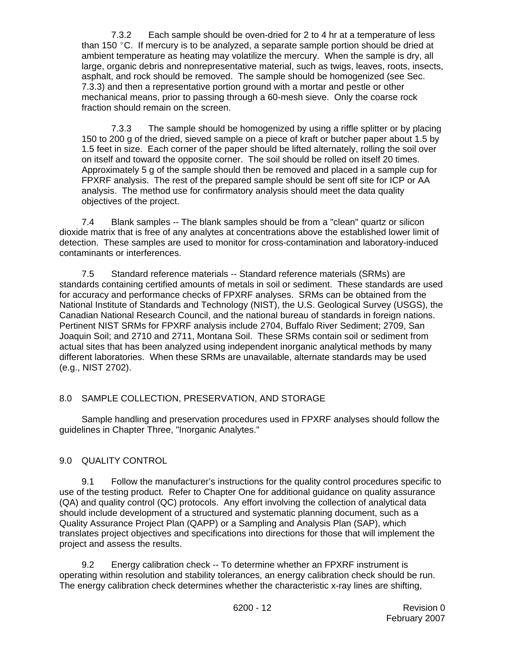7.3.2 Each sample should be oven-dried for 2 to 4 hr at a temperature of less than 150  $\degree$ C. If mercury is to be analyzed, a separate sample portion should be dried at ambient temperature as heating may volatilize the mercury. When the sample is dry, all large, organic debris and nonrepresentative material, such as twigs, leaves, roots, insects, asphalt, and rock should be removed. The sample should be homogenized (see Sec. 7.3.3) and then a representative portion ground with a mortar and pestle or other mechanical means, prior to passing through a 60-mesh sieve. Only the coarse rock fraction should remain on the screen.

7.3.3 The sample should be homogenized by using a riffle splitter or by placing 150 to 200 g of the dried, sieved sample on a piece of kraft or butcher paper about 1.5 by 1.5 feet in size. Each corner of the paper should be lifted alternately, rolling the soil over on itself and toward the opposite corner. The soil should be rolled on itself 20 times. Approximately 5 g of the sample should then be removed and placed in a sample cup for FPXRF analysis. The rest of the prepared sample should be sent off site for ICP or AA analysis. The method use for confirmatory analysis should meet the data quality objectives of the project.

7.4 Blank samples -- The blank samples should be from a "clean" quartz or silicon dioxide matrix that is free of any analytes at concentrations above the established lower limit of detection. These samples are used to monitor for cross-contamination and laboratory-induced contaminants or interferences.

7.5 Standard reference materials -- Standard reference materials (SRMs) are standards containing certified amounts of metals in soil or sediment. These standards are used for accuracy and performance checks of FPXRF analyses. SRMs can be obtained from the National Institute of Standards and Technology (NIST), the U.S. Geological Survey (USGS), the Canadian National Research Council, and the national bureau of standards in foreign nations. Pertinent NIST SRMs for FPXRF analysis include 2704, Buffalo River Sediment; 2709, San Joaquin Soil; and 2710 and 2711, Montana Soil. These SRMs contain soil or sediment from actual sites that has been analyzed using independent inorganic analytical methods by many different laboratories. When these SRMs are unavailable, alternate standards may be used (e.g., NIST 2702).

# 8.0 SAMPLE COLLECTION, PRESERVATION, AND STORAGE

Sample handling and preservation procedures used in FPXRF analyses should follow the guidelines in Chapter Three, "Inorganic Analytes."

# 9.0 QUALITY CONTROL

9.1 Follow the manufacturer's instructions for the quality control procedures specific to use of the testing product. Refer to Chapter One for additional guidance on quality assurance (QA) and quality control (QC) protocols. Any effort involving the collection of analytical data should include development of a structured and systematic planning document, such as a Quality Assurance Project Plan (QAPP) or a Sampling and Analysis Plan (SAP), which translates project objectives and specifications into directions for those that will implement the project and assess the results.

9.2 Energy calibration check -- To determine whether an FPXRF instrument is operating within resolution and stability tolerances, an energy calibration check should be run. The energy calibration check determines whether the characteristic x-ray lines are shifting,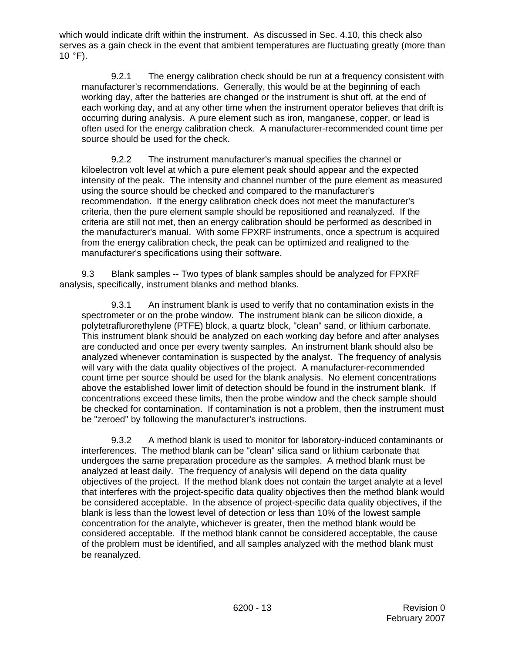which would indicate drift within the instrument. As discussed in Sec. 4.10, this check also serves as a gain check in the event that ambient temperatures are fluctuating greatly (more than  $10 \degree F$ ).

9.2.1 The energy calibration check should be run at a frequency consistent with manufacturer's recommendations. Generally, this would be at the beginning of each working day, after the batteries are changed or the instrument is shut off, at the end of each working day, and at any other time when the instrument operator believes that drift is occurring during analysis. A pure element such as iron, manganese, copper, or lead is often used for the energy calibration check. A manufacturer-recommended count time per source should be used for the check.

9.2.2 The instrument manufacturer's manual specifies the channel or kiloelectron volt level at which a pure element peak should appear and the expected intensity of the peak. The intensity and channel number of the pure element as measured using the source should be checked and compared to the manufacturer's recommendation. If the energy calibration check does not meet the manufacturer's criteria, then the pure element sample should be repositioned and reanalyzed. If the criteria are still not met, then an energy calibration should be performed as described in the manufacturer's manual. With some FPXRF instruments, once a spectrum is acquired from the energy calibration check, the peak can be optimized and realigned to the manufacturer's specifications using their software.

9.3 Blank samples -- Two types of blank samples should be analyzed for FPXRF analysis, specifically, instrument blanks and method blanks.

9.3.1 An instrument blank is used to verify that no contamination exists in the spectrometer or on the probe window. The instrument blank can be silicon dioxide, a polytetraflurorethylene (PTFE) block, a quartz block, "clean" sand, or lithium carbonate. This instrument blank should be analyzed on each working day before and after analyses are conducted and once per every twenty samples. An instrument blank should also be analyzed whenever contamination is suspected by the analyst. The frequency of analysis will vary with the data quality objectives of the project. A manufacturer-recommended count time per source should be used for the blank analysis. No element concentrations above the established lower limit of detection should be found in the instrument blank. If concentrations exceed these limits, then the probe window and the check sample should be checked for contamination. If contamination is not a problem, then the instrument must be "zeroed" by following the manufacturer's instructions.

9.3.2 A method blank is used to monitor for laboratory-induced contaminants or interferences. The method blank can be "clean" silica sand or lithium carbonate that undergoes the same preparation procedure as the samples. A method blank must be analyzed at least daily. The frequency of analysis will depend on the data quality objectives of the project. If the method blank does not contain the target analyte at a level that interferes with the project-specific data quality objectives then the method blank would be considered acceptable. In the absence of project-specific data quality objectives, if the blank is less than the lowest level of detection or less than 10% of the lowest sample concentration for the analyte, whichever is greater, then the method blank would be considered acceptable. If the method blank cannot be considered acceptable, the cause of the problem must be identified, and all samples analyzed with the method blank must be reanalyzed.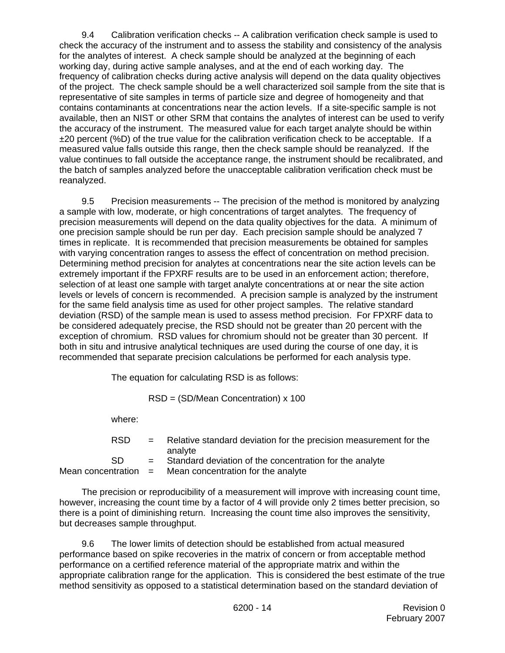9.4 Calibration verification checks -- A calibration verification check sample is used to check the accuracy of the instrument and to assess the stability and consistency of the analysis for the analytes of interest. A check sample should be analyzed at the beginning of each working day, during active sample analyses, and at the end of each working day. The frequency of calibration checks during active analysis will depend on the data quality objectives of the project. The check sample should be a well characterized soil sample from the site that is representative of site samples in terms of particle size and degree of homogeneity and that contains contaminants at concentrations near the action levels. If a site-specific sample is not available, then an NIST or other SRM that contains the analytes of interest can be used to verify the accuracy of the instrument. The measured value for each target analyte should be within ±20 percent (%D) of the true value for the calibration verification check to be acceptable. If a measured value falls outside this range, then the check sample should be reanalyzed. If the value continues to fall outside the acceptance range, the instrument should be recalibrated, and the batch of samples analyzed before the unacceptable calibration verification check must be reanalyzed.

9.5 Precision measurements -- The precision of the method is monitored by analyzing a sample with low, moderate, or high concentrations of target analytes. The frequency of precision measurements will depend on the data quality objectives for the data. A minimum of one precision sample should be run per day. Each precision sample should be analyzed 7 times in replicate. It is recommended that precision measurements be obtained for samples with varying concentration ranges to assess the effect of concentration on method precision. Determining method precision for analytes at concentrations near the site action levels can be extremely important if the FPXRF results are to be used in an enforcement action; therefore, selection of at least one sample with target analyte concentrations at or near the site action levels or levels of concern is recommended. A precision sample is analyzed by the instrument for the same field analysis time as used for other project samples. The relative standard deviation (RSD) of the sample mean is used to assess method precision. For FPXRF data to be considered adequately precise, the RSD should not be greater than 20 percent with the exception of chromium. RSD values for chromium should not be greater than 30 percent. If both in situ and intrusive analytical techniques are used during the course of one day, it is recommended that separate precision calculations be performed for each analysis type.

The equation for calculating RSD is as follows:

RSD = (SD/Mean Concentration) x 100

where:

| RSD. | = Relative standard deviation for the precision measurement for the<br>analyte |
|------|--------------------------------------------------------------------------------|
| SD.  | $=$ Standard deviation of the concentration for the analyte                    |
|      | Mean concentration $=$ Mean concentration for the analyte                      |
|      |                                                                                |

The precision or reproducibility of a measurement will improve with increasing count time, however, increasing the count time by a factor of 4 will provide only 2 times better precision, so there is a point of diminishing return. Increasing the count time also improves the sensitivity, but decreases sample throughput.

9.6 The lower limits of detection should be established from actual measured performance based on spike recoveries in the matrix of concern or from acceptable method performance on a certified reference material of the appropriate matrix and within the appropriate calibration range for the application. This is considered the best estimate of the true method sensitivity as opposed to a statistical determination based on the standard deviation of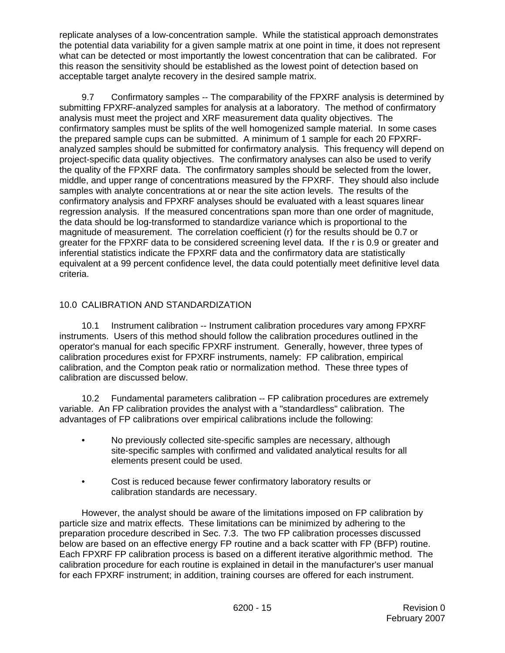replicate analyses of a low-concentration sample. While the statistical approach demonstrates the potential data variability for a given sample matrix at one point in time, it does not represent what can be detected or most importantly the lowest concentration that can be calibrated. For this reason the sensitivity should be established as the lowest point of detection based on acceptable target analyte recovery in the desired sample matrix.

9.7 Confirmatory samples -- The comparability of the FPXRF analysis is determined by submitting FPXRF-analyzed samples for analysis at a laboratory. The method of confirmatory analysis must meet the project and XRF measurement data quality objectives. The confirmatory samples must be splits of the well homogenized sample material. In some cases the prepared sample cups can be submitted. A minimum of 1 sample for each 20 FPXRFanalyzed samples should be submitted for confirmatory analysis. This frequency will depend on project-specific data quality objectives. The confirmatory analyses can also be used to verify the quality of the FPXRF data. The confirmatory samples should be selected from the lower, middle, and upper range of concentrations measured by the FPXRF. They should also include samples with analyte concentrations at or near the site action levels. The results of the confirmatory analysis and FPXRF analyses should be evaluated with a least squares linear regression analysis. If the measured concentrations span more than one order of magnitude, the data should be log-transformed to standardize variance which is proportional to the magnitude of measurement. The correlation coefficient (r) for the results should be 0.7 or greater for the FPXRF data to be considered screening level data. If the r is 0.9 or greater and inferential statistics indicate the FPXRF data and the confirmatory data are statistically equivalent at a 99 percent confidence level, the data could potentially meet definitive level data criteria.

# 10.0 CALIBRATION AND STANDARDIZATION

10.1 Instrument calibration -- Instrument calibration procedures vary among FPXRF instruments. Users of this method should follow the calibration procedures outlined in the operator's manual for each specific FPXRF instrument. Generally, however, three types of calibration procedures exist for FPXRF instruments, namely: FP calibration, empirical calibration, and the Compton peak ratio or normalization method. These three types of calibration are discussed below.

10.2 Fundamental parameters calibration -- FP calibration procedures are extremely variable. An FP calibration provides the analyst with a "standardless" calibration. The advantages of FP calibrations over empirical calibrations include the following:

- No previously collected site-specific samples are necessary, although site-specific samples with confirmed and validated analytical results for all elements present could be used.
- Cost is reduced because fewer confirmatory laboratory results or calibration standards are necessary.

However, the analyst should be aware of the limitations imposed on FP calibration by particle size and matrix effects. These limitations can be minimized by adhering to the preparation procedure described in Sec. 7.3. The two FP calibration processes discussed below are based on an effective energy FP routine and a back scatter with FP (BFP) routine. Each FPXRF FP calibration process is based on a different iterative algorithmic method. The calibration procedure for each routine is explained in detail in the manufacturer's user manual for each FPXRF instrument; in addition, training courses are offered for each instrument.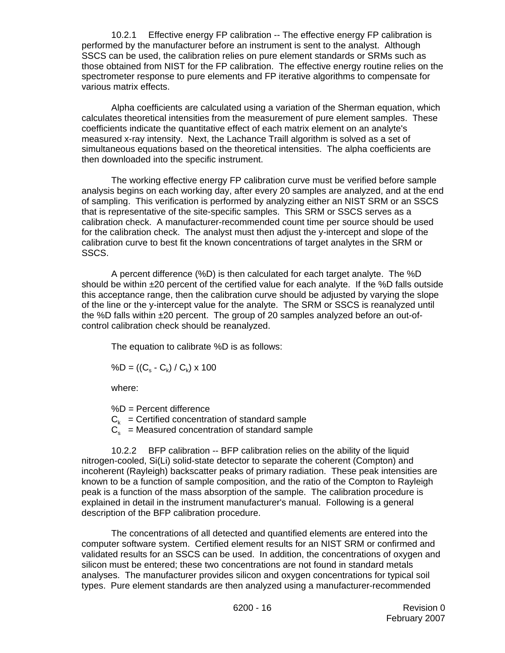10.2.1 Effective energy FP calibration -- The effective energy FP calibration is performed by the manufacturer before an instrument is sent to the analyst. Although SSCS can be used, the calibration relies on pure element standards or SRMs such as those obtained from NIST for the FP calibration. The effective energy routine relies on the spectrometer response to pure elements and FP iterative algorithms to compensate for various matrix effects.

Alpha coefficients are calculated using a variation of the Sherman equation, which calculates theoretical intensities from the measurement of pure element samples. These coefficients indicate the quantitative effect of each matrix element on an analyte's measured x-ray intensity. Next, the Lachance Traill algorithm is solved as a set of simultaneous equations based on the theoretical intensities. The alpha coefficients are then downloaded into the specific instrument.

The working effective energy FP calibration curve must be verified before sample analysis begins on each working day, after every 20 samples are analyzed, and at the end of sampling. This verification is performed by analyzing either an NIST SRM or an SSCS that is representative of the site-specific samples. This SRM or SSCS serves as a calibration check. A manufacturer-recommended count time per source should be used for the calibration check. The analyst must then adjust the y-intercept and slope of the calibration curve to best fit the known concentrations of target analytes in the SRM or SSCS.

A percent difference (%D) is then calculated for each target analyte. The %D should be within  $\pm 20$  percent of the certified value for each analyte. If the %D falls outside this acceptance range, then the calibration curve should be adjusted by varying the slope of the line or the y-intercept value for the analyte. The SRM or SSCS is reanalyzed until the %D falls within ±20 percent. The group of 20 samples analyzed before an out-ofcontrol calibration check should be reanalyzed.

The equation to calibrate %D is as follows:

$$
\%D = ((C_s - C_k) / C_k) \times 100
$$

where:

%D = Percent difference

 $C_k$  = Certified concentration of standard sample

 $C_s$  = Measured concentration of standard sample

10.2.2 BFP calibration -- BFP calibration relies on the ability of the liquid nitrogen-cooled, Si(Li) solid-state detector to separate the coherent (Compton) and incoherent (Rayleigh) backscatter peaks of primary radiation. These peak intensities are known to be a function of sample composition, and the ratio of the Compton to Rayleigh peak is a function of the mass absorption of the sample. The calibration procedure is explained in detail in the instrument manufacturer's manual. Following is a general description of the BFP calibration procedure.

The concentrations of all detected and quantified elements are entered into the computer software system. Certified element results for an NIST SRM or confirmed and validated results for an SSCS can be used. In addition, the concentrations of oxygen and silicon must be entered; these two concentrations are not found in standard metals analyses. The manufacturer provides silicon and oxygen concentrations for typical soil types. Pure element standards are then analyzed using a manufacturer-recommended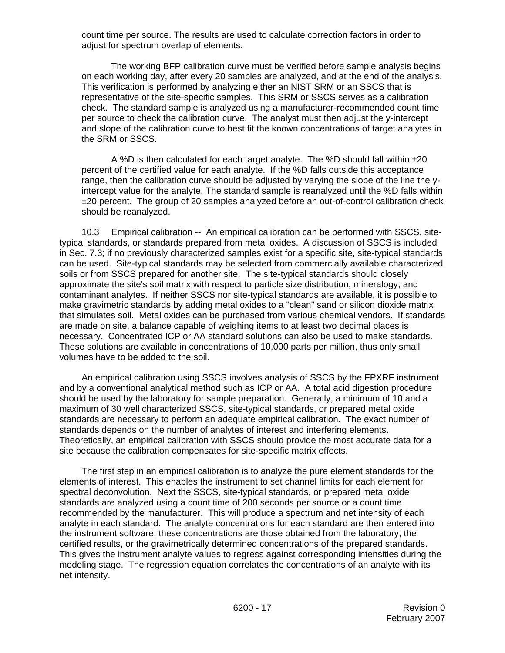count time per source. The results are used to calculate correction factors in order to adjust for spectrum overlap of elements.

The working BFP calibration curve must be verified before sample analysis begins on each working day, after every 20 samples are analyzed, and at the end of the analysis. This verification is performed by analyzing either an NIST SRM or an SSCS that is representative of the site-specific samples. This SRM or SSCS serves as a calibration check. The standard sample is analyzed using a manufacturer-recommended count time per source to check the calibration curve. The analyst must then adjust the y-intercept and slope of the calibration curve to best fit the known concentrations of target analytes in the SRM or SSCS.

A %D is then calculated for each target analyte. The %D should fall within ±20 percent of the certified value for each analyte. If the %D falls outside this acceptance range, then the calibration curve should be adjusted by varying the slope of the line the yintercept value for the analyte. The standard sample is reanalyzed until the %D falls within ±20 percent. The group of 20 samples analyzed before an out-of-control calibration check should be reanalyzed.

10.3 Empirical calibration -- An empirical calibration can be performed with SSCS, sitetypical standards, or standards prepared from metal oxides. A discussion of SSCS is included in Sec. 7.3; if no previously characterized samples exist for a specific site, site-typical standards can be used. Site-typical standards may be selected from commercially available characterized soils or from SSCS prepared for another site. The site-typical standards should closely approximate the site's soil matrix with respect to particle size distribution, mineralogy, and contaminant analytes. If neither SSCS nor site-typical standards are available, it is possible to make gravimetric standards by adding metal oxides to a "clean" sand or silicon dioxide matrix that simulates soil. Metal oxides can be purchased from various chemical vendors. If standards are made on site, a balance capable of weighing items to at least two decimal places is necessary. Concentrated ICP or AA standard solutions can also be used to make standards. These solutions are available in concentrations of 10,000 parts per million, thus only small volumes have to be added to the soil.

An empirical calibration using SSCS involves analysis of SSCS by the FPXRF instrument and by a conventional analytical method such as ICP or AA. A total acid digestion procedure should be used by the laboratory for sample preparation. Generally, a minimum of 10 and a maximum of 30 well characterized SSCS, site-typical standards, or prepared metal oxide standards are necessary to perform an adequate empirical calibration. The exact number of standards depends on the number of analytes of interest and interfering elements. Theoretically, an empirical calibration with SSCS should provide the most accurate data for a site because the calibration compensates for site-specific matrix effects.

The first step in an empirical calibration is to analyze the pure element standards for the elements of interest. This enables the instrument to set channel limits for each element for spectral deconvolution. Next the SSCS, site-typical standards, or prepared metal oxide standards are analyzed using a count time of 200 seconds per source or a count time recommended by the manufacturer. This will produce a spectrum and net intensity of each analyte in each standard. The analyte concentrations for each standard are then entered into the instrument software; these concentrations are those obtained from the laboratory, the certified results, or the gravimetrically determined concentrations of the prepared standards. This gives the instrument analyte values to regress against corresponding intensities during the modeling stage. The regression equation correlates the concentrations of an analyte with its net intensity.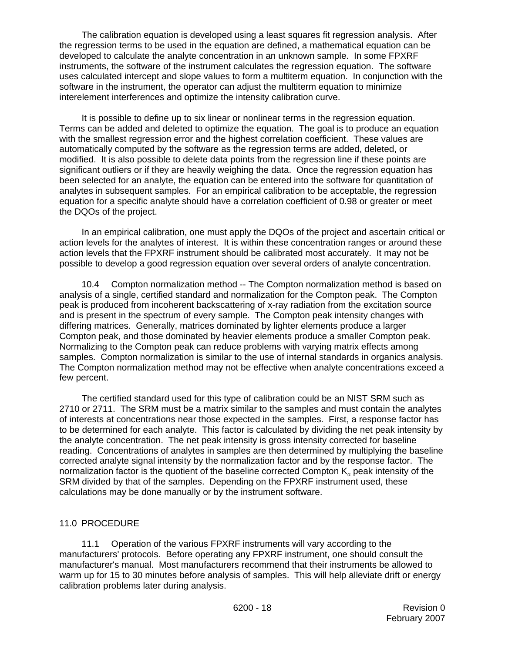The calibration equation is developed using a least squares fit regression analysis. After the regression terms to be used in the equation are defined, a mathematical equation can be developed to calculate the analyte concentration in an unknown sample. In some FPXRF instruments, the software of the instrument calculates the regression equation. The software uses calculated intercept and slope values to form a multiterm equation. In conjunction with the software in the instrument, the operator can adjust the multiterm equation to minimize interelement interferences and optimize the intensity calibration curve.

It is possible to define up to six linear or nonlinear terms in the regression equation. Terms can be added and deleted to optimize the equation. The goal is to produce an equation with the smallest regression error and the highest correlation coefficient. These values are automatically computed by the software as the regression terms are added, deleted, or modified. It is also possible to delete data points from the regression line if these points are significant outliers or if they are heavily weighing the data. Once the regression equation has been selected for an analyte, the equation can be entered into the software for quantitation of analytes in subsequent samples. For an empirical calibration to be acceptable, the regression equation for a specific analyte should have a correlation coefficient of 0.98 or greater or meet the DQOs of the project.

In an empirical calibration, one must apply the DQOs of the project and ascertain critical or action levels for the analytes of interest. It is within these concentration ranges or around these action levels that the FPXRF instrument should be calibrated most accurately. It may not be possible to develop a good regression equation over several orders of analyte concentration.

10.4 Compton normalization method -- The Compton normalization method is based on analysis of a single, certified standard and normalization for the Compton peak. The Compton peak is produced from incoherent backscattering of x-ray radiation from the excitation source and is present in the spectrum of every sample. The Compton peak intensity changes with differing matrices. Generally, matrices dominated by lighter elements produce a larger Compton peak, and those dominated by heavier elements produce a smaller Compton peak. Normalizing to the Compton peak can reduce problems with varying matrix effects among samples. Compton normalization is similar to the use of internal standards in organics analysis. The Compton normalization method may not be effective when analyte concentrations exceed a few percent.

The certified standard used for this type of calibration could be an NIST SRM such as 2710 or 2711. The SRM must be a matrix similar to the samples and must contain the analytes of interests at concentrations near those expected in the samples. First, a response factor has to be determined for each analyte. This factor is calculated by dividing the net peak intensity by the analyte concentration. The net peak intensity is gross intensity corrected for baseline reading. Concentrations of analytes in samples are then determined by multiplying the baseline corrected analyte signal intensity by the normalization factor and by the response factor. The normalization factor is the quotient of the baseline corrected Compton  $K_{\alpha}$  peak intensity of the SRM divided by that of the samples. Depending on the FPXRF instrument used, these calculations may be done manually or by the instrument software.

### 11.0 PROCEDURE

11.1 Operation of the various FPXRF instruments will vary according to the manufacturers' protocols. Before operating any FPXRF instrument, one should consult the manufacturer's manual. Most manufacturers recommend that their instruments be allowed to warm up for 15 to 30 minutes before analysis of samples. This will help alleviate drift or energy calibration problems later during analysis.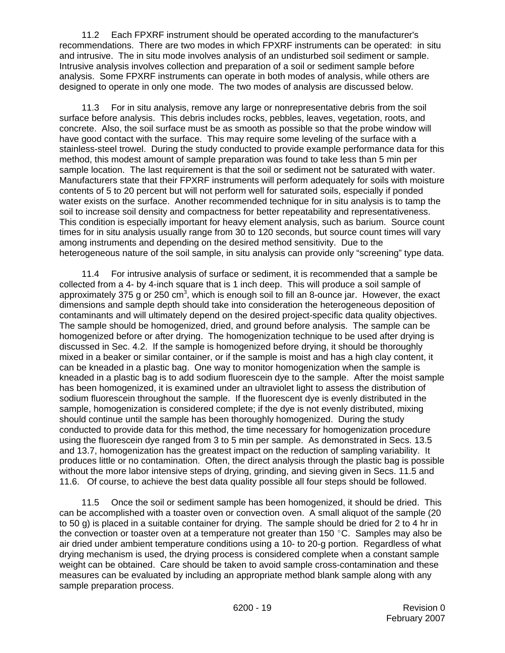11.2 Each FPXRF instrument should be operated according to the manufacturer's recommendations. There are two modes in which FPXRF instruments can be operated: in situ and intrusive. The in situ mode involves analysis of an undisturbed soil sediment or sample. Intrusive analysis involves collection and preparation of a soil or sediment sample before analysis. Some FPXRF instruments can operate in both modes of analysis, while others are designed to operate in only one mode. The two modes of analysis are discussed below.

11.3 For in situ analysis, remove any large or nonrepresentative debris from the soil surface before analysis. This debris includes rocks, pebbles, leaves, vegetation, roots, and concrete. Also, the soil surface must be as smooth as possible so that the probe window will have good contact with the surface. This may require some leveling of the surface with a stainless-steel trowel. During the study conducted to provide example performance data for this method, this modest amount of sample preparation was found to take less than 5 min per sample location. The last requirement is that the soil or sediment not be saturated with water. Manufacturers state that their FPXRF instruments will perform adequately for soils with moisture contents of 5 to 20 percent but will not perform well for saturated soils, especially if ponded water exists on the surface. Another recommended technique for in situ analysis is to tamp the soil to increase soil density and compactness for better repeatability and representativeness. This condition is especially important for heavy element analysis, such as barium. Source count times for in situ analysis usually range from 30 to 120 seconds, but source count times will vary among instruments and depending on the desired method sensitivity. Due to the heterogeneous nature of the soil sample, in situ analysis can provide only "screening" type data.

11.4 For intrusive analysis of surface or sediment, it is recommended that a sample be collected from a 4- by 4-inch square that is 1 inch deep. This will produce a soil sample of approximately 375 g or 250 cm<sup>3</sup>, which is enough soil to fill an 8-ounce jar. However, the exact dimensions and sample depth should take into consideration the heterogeneous deposition of contaminants and will ultimately depend on the desired project-specific data quality objectives. The sample should be homogenized, dried, and ground before analysis. The sample can be homogenized before or after drying. The homogenization technique to be used after drying is discussed in Sec. 4.2. If the sample is homogenized before drying, it should be thoroughly mixed in a beaker or similar container, or if the sample is moist and has a high clay content, it can be kneaded in a plastic bag. One way to monitor homogenization when the sample is kneaded in a plastic bag is to add sodium fluorescein dye to the sample. After the moist sample has been homogenized, it is examined under an ultraviolet light to assess the distribution of sodium fluorescein throughout the sample. If the fluorescent dye is evenly distributed in the sample, homogenization is considered complete; if the dye is not evenly distributed, mixing should continue until the sample has been thoroughly homogenized. During the study conducted to provide data for this method, the time necessary for homogenization procedure using the fluorescein dye ranged from 3 to 5 min per sample. As demonstrated in Secs. 13.5 and 13.7, homogenization has the greatest impact on the reduction of sampling variability. It produces little or no contamination. Often, the direct analysis through the plastic bag is possible without the more labor intensive steps of drying, grinding, and sieving given in Secs. 11.5 and 11.6. Of course, to achieve the best data quality possible all four steps should be followed.

11.5 Once the soil or sediment sample has been homogenized, it should be dried. This can be accomplished with a toaster oven or convection oven. A small aliquot of the sample (20 to 50 g) is placed in a suitable container for drying. The sample should be dried for 2 to 4 hr in the convection or toaster oven at a temperature not greater than 150  $^{\circ}$ C. Samples may also be air dried under ambient temperature conditions using a 10- to 20-g portion. Regardless of what drying mechanism is used, the drying process is considered complete when a constant sample weight can be obtained. Care should be taken to avoid sample cross-contamination and these measures can be evaluated by including an appropriate method blank sample along with any sample preparation process.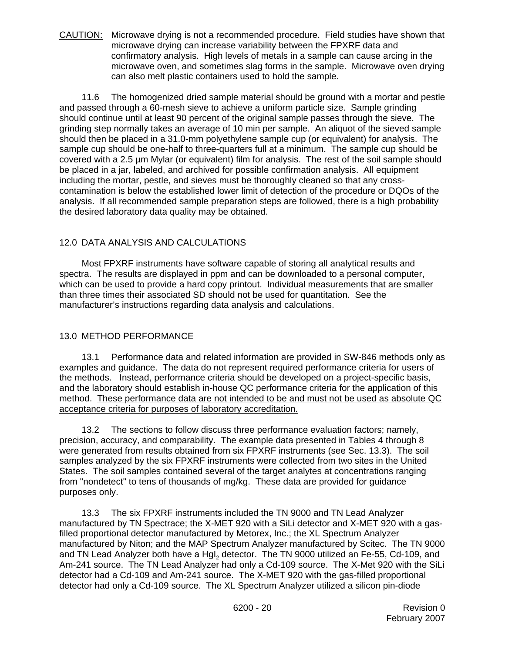CAUTION: Microwave drying is not a recommended procedure. Field studies have shown that microwave drying can increase variability between the FPXRF data and confirmatory analysis. High levels of metals in a sample can cause arcing in the microwave oven, and sometimes slag forms in the sample. Microwave oven drying can also melt plastic containers used to hold the sample.

11.6 The homogenized dried sample material should be ground with a mortar and pestle and passed through a 60-mesh sieve to achieve a uniform particle size. Sample grinding should continue until at least 90 percent of the original sample passes through the sieve. The grinding step normally takes an average of 10 min per sample. An aliquot of the sieved sample should then be placed in a 31.0-mm polyethylene sample cup (or equivalent) for analysis. The sample cup should be one-half to three-quarters full at a minimum. The sample cup should be covered with a 2.5 µm Mylar (or equivalent) film for analysis. The rest of the soil sample should be placed in a jar, labeled, and archived for possible confirmation analysis. All equipment including the mortar, pestle, and sieves must be thoroughly cleaned so that any crosscontamination is below the established lower limit of detection of the procedure or DQOs of the analysis. If all recommended sample preparation steps are followed, there is a high probability the desired laboratory data quality may be obtained.

# 12.0 DATA ANALYSIS AND CALCULATIONS

Most FPXRF instruments have software capable of storing all analytical results and spectra. The results are displayed in ppm and can be downloaded to a personal computer, which can be used to provide a hard copy printout. Individual measurements that are smaller than three times their associated SD should not be used for quantitation. See the manufacturer's instructions regarding data analysis and calculations.

# 13.0 METHOD PERFORMANCE

13.1 Performance data and related information are provided in SW-846 methods only as examples and guidance. The data do not represent required performance criteria for users of the methods. Instead, performance criteria should be developed on a project-specific basis, and the laboratory should establish in-house QC performance criteria for the application of this method. These performance data are not intended to be and must not be used as absolute QC acceptance criteria for purposes of laboratory accreditation.

13.2 The sections to follow discuss three performance evaluation factors; namely, precision, accuracy, and comparability. The example data presented in Tables 4 through 8 were generated from results obtained from six FPXRF instruments (see Sec. 13.3). The soil samples analyzed by the six FPXRF instruments were collected from two sites in the United States. The soil samples contained several of the target analytes at concentrations ranging from "nondetect" to tens of thousands of mg/kg. These data are provided for guidance purposes only.

13.3 The six FPXRF instruments included the TN 9000 and TN Lead Analyzer manufactured by TN Spectrace; the X-MET 920 with a SiLi detector and X-MET 920 with a gasfilled proportional detector manufactured by Metorex, Inc.; the XL Spectrum Analyzer manufactured by Niton; and the MAP Spectrum Analyzer manufactured by Scitec. The TN 9000 and TN Lead Analyzer both have a HgI<sub>2</sub> detector. The TN 9000 utilized an Fe-55, Cd-109, and Am-241 source. The TN Lead Analyzer had only a Cd-109 source. The X-Met 920 with the SiLi detector had a Cd-109 and Am-241 source. The X-MET 920 with the gas-filled proportional detector had only a Cd-109 source. The XL Spectrum Analyzer utilized a silicon pin-diode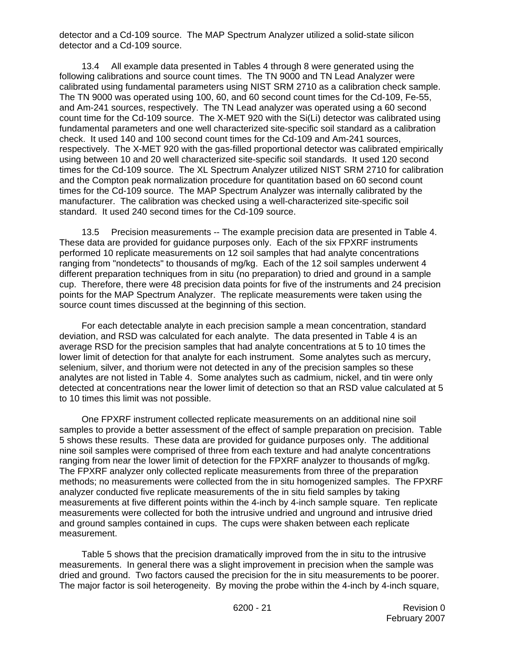detector and a Cd-109 source. The MAP Spectrum Analyzer utilized a solid-state silicon detector and a Cd-109 source.

13.4 All example data presented in Tables 4 through 8 were generated using the following calibrations and source count times. The TN 9000 and TN Lead Analyzer were calibrated using fundamental parameters using NIST SRM 2710 as a calibration check sample. The TN 9000 was operated using 100, 60, and 60 second count times for the Cd-109, Fe-55, and Am-241 sources, respectively. The TN Lead analyzer was operated using a 60 second count time for the Cd-109 source. The X-MET 920 with the Si(Li) detector was calibrated using fundamental parameters and one well characterized site-specific soil standard as a calibration check. It used 140 and 100 second count times for the Cd-109 and Am-241 sources, respectively. The X-MET 920 with the gas-filled proportional detector was calibrated empirically using between 10 and 20 well characterized site-specific soil standards. It used 120 second times for the Cd-109 source. The XL Spectrum Analyzer utilized NIST SRM 2710 for calibration and the Compton peak normalization procedure for quantitation based on 60 second count times for the Cd-109 source. The MAP Spectrum Analyzer was internally calibrated by the manufacturer. The calibration was checked using a well-characterized site-specific soil standard. It used 240 second times for the Cd-109 source.

13.5 Precision measurements -- The example precision data are presented in Table 4. These data are provided for guidance purposes only. Each of the six FPXRF instruments performed 10 replicate measurements on 12 soil samples that had analyte concentrations ranging from "nondetects" to thousands of mg/kg. Each of the 12 soil samples underwent 4 different preparation techniques from in situ (no preparation) to dried and ground in a sample cup. Therefore, there were 48 precision data points for five of the instruments and 24 precision points for the MAP Spectrum Analyzer. The replicate measurements were taken using the source count times discussed at the beginning of this section.

For each detectable analyte in each precision sample a mean concentration, standard deviation, and RSD was calculated for each analyte. The data presented in Table 4 is an average RSD for the precision samples that had analyte concentrations at 5 to 10 times the lower limit of detection for that analyte for each instrument. Some analytes such as mercury, selenium, silver, and thorium were not detected in any of the precision samples so these analytes are not listed in Table 4. Some analytes such as cadmium, nickel, and tin were only detected at concentrations near the lower limit of detection so that an RSD value calculated at 5 to 10 times this limit was not possible.

One FPXRF instrument collected replicate measurements on an additional nine soil samples to provide a better assessment of the effect of sample preparation on precision. Table 5 shows these results. These data are provided for guidance purposes only. The additional nine soil samples were comprised of three from each texture and had analyte concentrations ranging from near the lower limit of detection for the FPXRF analyzer to thousands of mg/kg. The FPXRF analyzer only collected replicate measurements from three of the preparation methods; no measurements were collected from the in situ homogenized samples. The FPXRF analyzer conducted five replicate measurements of the in situ field samples by taking measurements at five different points within the 4-inch by 4-inch sample square. Ten replicate measurements were collected for both the intrusive undried and unground and intrusive dried and ground samples contained in cups. The cups were shaken between each replicate measurement.

Table 5 shows that the precision dramatically improved from the in situ to the intrusive measurements. In general there was a slight improvement in precision when the sample was dried and ground. Two factors caused the precision for the in situ measurements to be poorer. The major factor is soil heterogeneity. By moving the probe within the 4-inch by 4-inch square,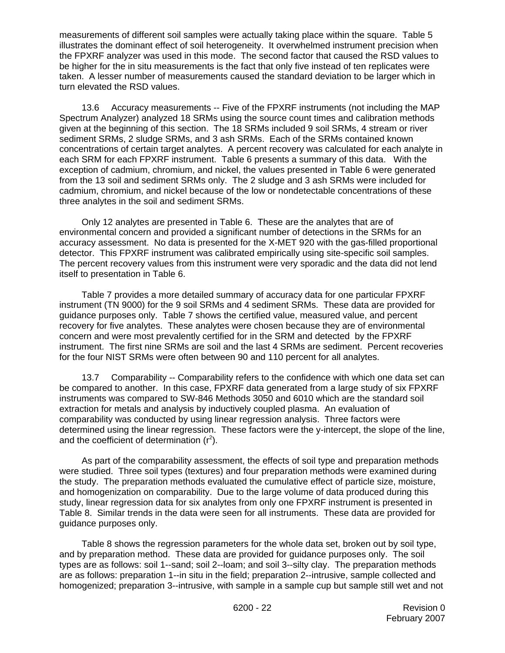measurements of different soil samples were actually taking place within the square. Table 5 illustrates the dominant effect of soil heterogeneity. It overwhelmed instrument precision when the FPXRF analyzer was used in this mode. The second factor that caused the RSD values to be higher for the in situ measurements is the fact that only five instead of ten replicates were taken. A lesser number of measurements caused the standard deviation to be larger which in turn elevated the RSD values.

13.6 Accuracy measurements -- Five of the FPXRF instruments (not including the MAP Spectrum Analyzer) analyzed 18 SRMs using the source count times and calibration methods given at the beginning of this section. The 18 SRMs included 9 soil SRMs, 4 stream or river sediment SRMs, 2 sludge SRMs, and 3 ash SRMs. Each of the SRMs contained known concentrations of certain target analytes. A percent recovery was calculated for each analyte in each SRM for each FPXRF instrument. Table 6 presents a summary of this data. With the exception of cadmium, chromium, and nickel, the values presented in Table 6 were generated from the 13 soil and sediment SRMs only. The 2 sludge and 3 ash SRMs were included for cadmium, chromium, and nickel because of the low or nondetectable concentrations of these three analytes in the soil and sediment SRMs.

Only 12 analytes are presented in Table 6. These are the analytes that are of environmental concern and provided a significant number of detections in the SRMs for an accuracy assessment. No data is presented for the X-MET 920 with the gas-filled proportional detector. This FPXRF instrument was calibrated empirically using site-specific soil samples. The percent recovery values from this instrument were very sporadic and the data did not lend itself to presentation in Table 6.

Table 7 provides a more detailed summary of accuracy data for one particular FPXRF instrument (TN 9000) for the 9 soil SRMs and 4 sediment SRMs. These data are provided for guidance purposes only. Table 7 shows the certified value, measured value, and percent recovery for five analytes. These analytes were chosen because they are of environmental concern and were most prevalently certified for in the SRM and detected by the FPXRF instrument. The first nine SRMs are soil and the last 4 SRMs are sediment. Percent recoveries for the four NIST SRMs were often between 90 and 110 percent for all analytes.

13.7 Comparability -- Comparability refers to the confidence with which one data set can be compared to another. In this case, FPXRF data generated from a large study of six FPXRF instruments was compared to SW-846 Methods 3050 and 6010 which are the standard soil extraction for metals and analysis by inductively coupled plasma. An evaluation of comparability was conducted by using linear regression analysis. Three factors were determined using the linear regression. These factors were the y-intercept, the slope of the line, and the coefficient of determination  $(r^2)$ .

As part of the comparability assessment, the effects of soil type and preparation methods were studied. Three soil types (textures) and four preparation methods were examined during the study. The preparation methods evaluated the cumulative effect of particle size, moisture, and homogenization on comparability. Due to the large volume of data produced during this study, linear regression data for six analytes from only one FPXRF instrument is presented in Table 8. Similar trends in the data were seen for all instruments. These data are provided for guidance purposes only.

Table 8 shows the regression parameters for the whole data set, broken out by soil type, and by preparation method. These data are provided for guidance purposes only. The soil types are as follows: soil 1--sand; soil 2--loam; and soil 3--silty clay. The preparation methods are as follows: preparation 1--in situ in the field; preparation 2--intrusive, sample collected and homogenized; preparation 3--intrusive, with sample in a sample cup but sample still wet and not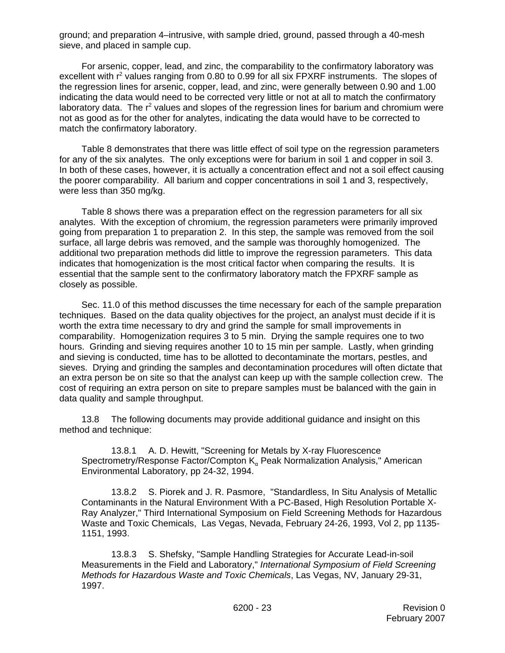ground; and preparation 4–intrusive, with sample dried, ground, passed through a 40-mesh sieve, and placed in sample cup.

 For arsenic, copper, lead, and zinc, the comparability to the confirmatory laboratory was excellent with  $r^2$  values ranging from 0.80 to 0.99 for all six FPXRF instruments. The slopes of the regression lines for arsenic, copper, lead, and zinc, were generally between 0.90 and 1.00 indicating the data would need to be corrected very little or not at all to match the confirmatory laboratory data. The  $r^2$  values and slopes of the regression lines for barium and chromium were not as good as for the other for analytes, indicating the data would have to be corrected to match the confirmatory laboratory.

Table 8 demonstrates that there was little effect of soil type on the regression parameters for any of the six analytes. The only exceptions were for barium in soil 1 and copper in soil 3. In both of these cases, however, it is actually a concentration effect and not a soil effect causing the poorer comparability. All barium and copper concentrations in soil 1 and 3, respectively, were less than 350 mg/kg.

Table 8 shows there was a preparation effect on the regression parameters for all six analytes. With the exception of chromium, the regression parameters were primarily improved going from preparation 1 to preparation 2. In this step, the sample was removed from the soil surface, all large debris was removed, and the sample was thoroughly homogenized. The additional two preparation methods did little to improve the regression parameters. This data indicates that homogenization is the most critical factor when comparing the results. It is essential that the sample sent to the confirmatory laboratory match the FPXRF sample as closely as possible.

Sec. 11.0 of this method discusses the time necessary for each of the sample preparation techniques. Based on the data quality objectives for the project, an analyst must decide if it is worth the extra time necessary to dry and grind the sample for small improvements in comparability. Homogenization requires 3 to 5 min. Drying the sample requires one to two hours. Grinding and sieving requires another 10 to 15 min per sample. Lastly, when grinding and sieving is conducted, time has to be allotted to decontaminate the mortars, pestles, and sieves. Drying and grinding the samples and decontamination procedures will often dictate that an extra person be on site so that the analyst can keep up with the sample collection crew. The cost of requiring an extra person on site to prepare samples must be balanced with the gain in data quality and sample throughput.

13.8 The following documents may provide additional guidance and insight on this method and technique:

13.8.1 A. D. Hewitt, "Screening for Metals by X-ray Fluorescence Spectrometry/Response Factor/Compton K<sub>α</sub> Peak Normalization Analysis," American Environmental Laboratory, pp 24-32, 1994.

13.8.2 S. Piorek and J. R. Pasmore, "Standardless, In Situ Analysis of Metallic Contaminants in the Natural Environment With a PC-Based, High Resolution Portable X-Ray Analyzer," Third International Symposium on Field Screening Methods for Hazardous Waste and Toxic Chemicals, Las Vegas, Nevada, February 24-26, 1993, Vol 2, pp 1135- 1151, 1993.

13.8.3 S. Shefsky, "Sample Handling Strategies for Accurate Lead-in-soil Measurements in the Field and Laboratory," *International Symposium of Field Screening Methods for Hazardous Waste and Toxic Chemicals*, Las Vegas, NV, January 29-31, 1997.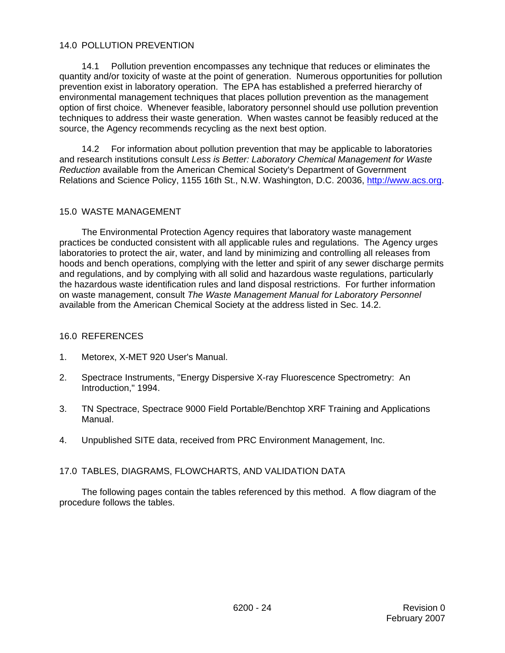## 14.0 POLLUTION PREVENTION

14.1 Pollution prevention encompasses any technique that reduces or eliminates the quantity and/or toxicity of waste at the point of generation. Numerous opportunities for pollution prevention exist in laboratory operation. The EPA has established a preferred hierarchy of environmental management techniques that places pollution prevention as the management option of first choice. Whenever feasible, laboratory personnel should use pollution prevention techniques to address their waste generation. When wastes cannot be feasibly reduced at the source, the Agency recommends recycling as the next best option.

14.2 For information about pollution prevention that may be applicable to laboratories and research institutions consult *Less is Better: Laboratory Chemical Management for Waste Reduction* available from the American Chemical Society's Department of Government Relations and Science Policy, 1155 16th St., N.W. Washington, D.C. 20036, http://www.acs.org.

### 15.0 WASTE MANAGEMENT

The Environmental Protection Agency requires that laboratory waste management practices be conducted consistent with all applicable rules and regulations. The Agency urges laboratories to protect the air, water, and land by minimizing and controlling all releases from hoods and bench operations, complying with the letter and spirit of any sewer discharge permits and regulations, and by complying with all solid and hazardous waste regulations, particularly the hazardous waste identification rules and land disposal restrictions. For further information on waste management, consult *The Waste Management Manual for Laboratory Personnel* available from the American Chemical Society at the address listed in Sec. 14.2.

### 16.0 REFERENCES

- 1. Metorex, X-MET 920 User's Manual.
- 2. Spectrace Instruments, "Energy Dispersive X-ray Fluorescence Spectrometry: An Introduction," 1994.
- 3. TN Spectrace, Spectrace 9000 Field Portable/Benchtop XRF Training and Applications Manual.
- 4. Unpublished SITE data, received from PRC Environment Management, Inc.

### 17.0 TABLES, DIAGRAMS, FLOWCHARTS, AND VALIDATION DATA

The following pages contain the tables referenced by this method. A flow diagram of the procedure follows the tables.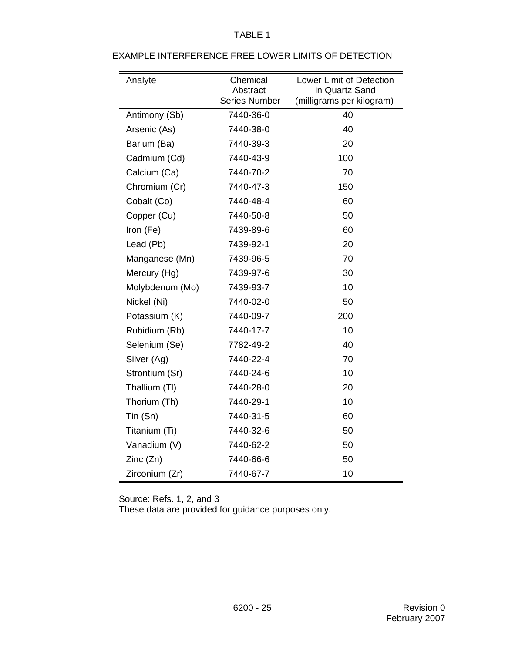| Analyte         | Chemical<br>Abstract<br><b>Series Number</b> | <b>Lower Limit of Detection</b><br>in Quartz Sand<br>(milligrams per kilogram) |
|-----------------|----------------------------------------------|--------------------------------------------------------------------------------|
| Antimony (Sb)   | 7440-36-0                                    | 40                                                                             |
| Arsenic (As)    | 7440-38-0                                    | 40                                                                             |
| Barium (Ba)     | 7440-39-3                                    | 20                                                                             |
| Cadmium (Cd)    | 7440-43-9                                    | 100                                                                            |
| Calcium (Ca)    | 7440-70-2                                    | 70                                                                             |
| Chromium (Cr)   | 7440-47-3                                    | 150                                                                            |
| Cobalt (Co)     | 7440-48-4                                    | 60                                                                             |
| Copper (Cu)     | 7440-50-8                                    | 50                                                                             |
| Iron (Fe)       | 7439-89-6                                    | 60                                                                             |
| Lead (Pb)       | 7439-92-1                                    | 20                                                                             |
| Manganese (Mn)  | 7439-96-5                                    | 70                                                                             |
| Mercury (Hg)    | 7439-97-6                                    | 30                                                                             |
| Molybdenum (Mo) | 7439-93-7                                    | 10                                                                             |
| Nickel (Ni)     | 7440-02-0                                    | 50                                                                             |
| Potassium (K)   | 7440-09-7                                    | 200                                                                            |
| Rubidium (Rb)   | 7440-17-7                                    | 10                                                                             |
| Selenium (Se)   | 7782-49-2                                    | 40                                                                             |
| Silver (Ag)     | 7440-22-4                                    | 70                                                                             |
| Strontium (Sr)  | 7440-24-6                                    | 10                                                                             |
| Thallium (TI)   | 7440-28-0                                    | 20                                                                             |
| Thorium (Th)    | 7440-29-1                                    | 10                                                                             |
| Tin (Sn)        | 7440-31-5                                    | 60                                                                             |
| Titanium (Ti)   | 7440-32-6                                    | 50                                                                             |
| Vanadium (V)    | 7440-62-2                                    | 50                                                                             |
| Zinc(Zn)        | 7440-66-6                                    | 50                                                                             |
| Zirconium (Zr)  | 7440-67-7                                    | 10                                                                             |

# EXAMPLE INTERFERENCE FREE LOWER LIMITS OF DETECTION

Source: Refs. 1, 2, and 3

These data are provided for guidance purposes only.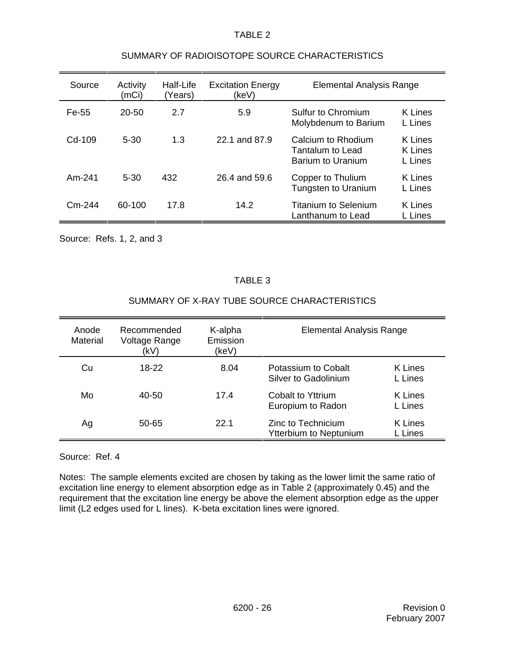| Source   | Activity<br>(mCi) | Half-Life<br>(Years) | <b>Excitation Energy</b><br>(keV) | <b>Elemental Analysis Range</b>                                    |                               |  |  |
|----------|-------------------|----------------------|-----------------------------------|--------------------------------------------------------------------|-------------------------------|--|--|
| Fe-55    | 20-50             | 2.7                  | 5.9                               | Sulfur to Chromium<br>Molybdenum to Barium                         | K Lines<br>L Lines            |  |  |
| Cd-109   | $5 - 30$          | 1.3                  | 22.1 and 87.9                     | Calcium to Rhodium<br><b>Tantalum to Lead</b><br>Barium to Uranium | K Lines<br>K Lines<br>L Lines |  |  |
| Am-241   | $5 - 30$          | 432                  | 26.4 and 59.6                     | Copper to Thulium<br>Tungsten to Uranium                           | K Lines<br>L Lines            |  |  |
| $Cm-244$ | 60-100            | 17.8                 | 14.2                              | <b>Titanium to Selenium</b><br>Lanthanum to Lead                   | K Lines<br>L Lines            |  |  |

## SUMMARY OF RADIOISOTOPE SOURCE CHARACTERISTICS

Source: Refs. 1, 2, and 3

### TABLE 3

# SUMMARY OF X-RAY TUBE SOURCE CHARACTERISTICS

| Anode<br>Material | Recommended<br>Voltage Range<br>(kV) | K-alpha<br>Emission<br>(keV) | <b>Elemental Analysis Range</b>                     |                    |  |  |  |  |
|-------------------|--------------------------------------|------------------------------|-----------------------------------------------------|--------------------|--|--|--|--|
| Cu                | 18-22                                | 8.04                         | Potassium to Cobalt<br>Silver to Gadolinium         | K Lines<br>L Lines |  |  |  |  |
| Mo                | 40-50                                | 17.4                         | Cobalt to Yttrium<br>Europium to Radon              | K Lines<br>L Lines |  |  |  |  |
| Ag                | 50-65                                | 22.1                         | Zinc to Technicium<br><b>Ytterbium to Neptunium</b> | K Lines<br>L Lines |  |  |  |  |

Source: Ref. 4

Notes: The sample elements excited are chosen by taking as the lower limit the same ratio of excitation line energy to element absorption edge as in Table 2 (approximately 0.45) and the requirement that the excitation line energy be above the element absorption edge as the upper limit (L2 edges used for L lines). K-beta excitation lines were ignored.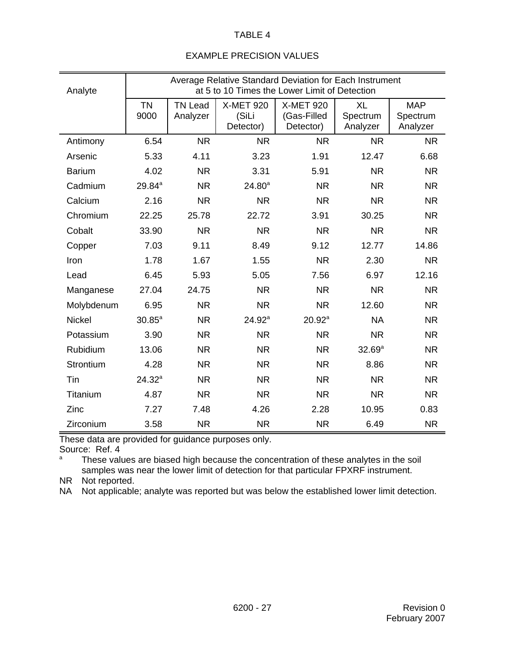| Analyte       | Average Relative Standard Deviation for Each Instrument<br>at 5 to 10 Times the Lower Limit of Detection |                            |                                        |                                              |                                   |                                    |  |  |  |
|---------------|----------------------------------------------------------------------------------------------------------|----------------------------|----------------------------------------|----------------------------------------------|-----------------------------------|------------------------------------|--|--|--|
|               | <b>TN</b><br>9000                                                                                        | <b>TN Lead</b><br>Analyzer | <b>X-MET 920</b><br>(SiLi<br>Detector) | <b>X-MET 920</b><br>(Gas-Filled<br>Detector) | <b>XL</b><br>Spectrum<br>Analyzer | <b>MAP</b><br>Spectrum<br>Analyzer |  |  |  |
| Antimony      | 6.54                                                                                                     | <b>NR</b>                  | <b>NR</b>                              | <b>NR</b>                                    | <b>NR</b>                         | <b>NR</b>                          |  |  |  |
| Arsenic       | 5.33                                                                                                     | 4.11                       | 3.23                                   | 1.91                                         | 12.47                             | 6.68                               |  |  |  |
| <b>Barium</b> | 4.02                                                                                                     | <b>NR</b>                  | 3.31                                   | 5.91                                         | <b>NR</b>                         | <b>NR</b>                          |  |  |  |
| Cadmium       | $29.84^{a}$                                                                                              | <b>NR</b>                  | $24.80^{a}$                            | <b>NR</b>                                    | <b>NR</b>                         | <b>NR</b>                          |  |  |  |
| Calcium       | 2.16                                                                                                     | <b>NR</b>                  | <b>NR</b>                              | <b>NR</b>                                    | <b>NR</b>                         | <b>NR</b>                          |  |  |  |
| Chromium      | 22.25                                                                                                    | 25.78                      | 22.72                                  | 3.91                                         | 30.25                             | <b>NR</b>                          |  |  |  |
| Cobalt        | 33.90                                                                                                    | <b>NR</b>                  | <b>NR</b>                              | <b>NR</b>                                    | <b>NR</b>                         | <b>NR</b>                          |  |  |  |
| Copper        | 7.03                                                                                                     | 9.11                       | 8.49                                   | 9.12                                         | 12.77                             | 14.86                              |  |  |  |
| Iron          | 1.78                                                                                                     | 1.67                       | 1.55                                   | <b>NR</b>                                    | 2.30                              | <b>NR</b>                          |  |  |  |
| Lead          | 6.45                                                                                                     | 5.93                       | 5.05                                   | 7.56                                         | 6.97                              | 12.16                              |  |  |  |
| Manganese     | 27.04                                                                                                    | 24.75                      | <b>NR</b>                              | <b>NR</b>                                    | <b>NR</b>                         | <b>NR</b>                          |  |  |  |
| Molybdenum    | 6.95                                                                                                     | <b>NR</b>                  | <b>NR</b>                              | <b>NR</b>                                    | 12.60                             | <b>NR</b>                          |  |  |  |
| <b>Nickel</b> | $30.85^a$                                                                                                | <b>NR</b>                  | 24.92 <sup>a</sup>                     | $20.92^a$                                    | <b>NA</b>                         | <b>NR</b>                          |  |  |  |
| Potassium     | 3.90                                                                                                     | <b>NR</b>                  | <b>NR</b>                              | <b>NR</b>                                    | <b>NR</b>                         | <b>NR</b>                          |  |  |  |
| Rubidium      | 13.06                                                                                                    | <b>NR</b>                  | <b>NR</b>                              | <b>NR</b>                                    | 32.69 <sup>a</sup>                | <b>NR</b>                          |  |  |  |
| Strontium     | 4.28                                                                                                     | <b>NR</b>                  | <b>NR</b>                              | <b>NR</b>                                    | 8.86                              | <b>NR</b>                          |  |  |  |
| Tin           | $24.32^{a}$                                                                                              | <b>NR</b>                  | <b>NR</b>                              | <b>NR</b>                                    | <b>NR</b>                         | <b>NR</b>                          |  |  |  |
| Titanium      | 4.87                                                                                                     | <b>NR</b>                  | <b>NR</b>                              | <b>NR</b>                                    | <b>NR</b>                         | <b>NR</b>                          |  |  |  |
| Zinc          | 7.27                                                                                                     | 7.48                       | 4.26                                   | 2.28                                         | 10.95                             | 0.83                               |  |  |  |
| Zirconium     | 3.58                                                                                                     | <b>NR</b>                  | <b>NR</b>                              | <b>NR</b>                                    | 6.49                              | <b>NR</b>                          |  |  |  |

### EXAMPLE PRECISION VALUES

These data are provided for guidance purposes only.

Source: Ref. 4

These values are biased high because the concentration of these analytes in the soil samples was near the lower limit of detection for that particular FPXRF instrument.

NR Not reported.

NA Not applicable; analyte was reported but was below the established lower limit detection.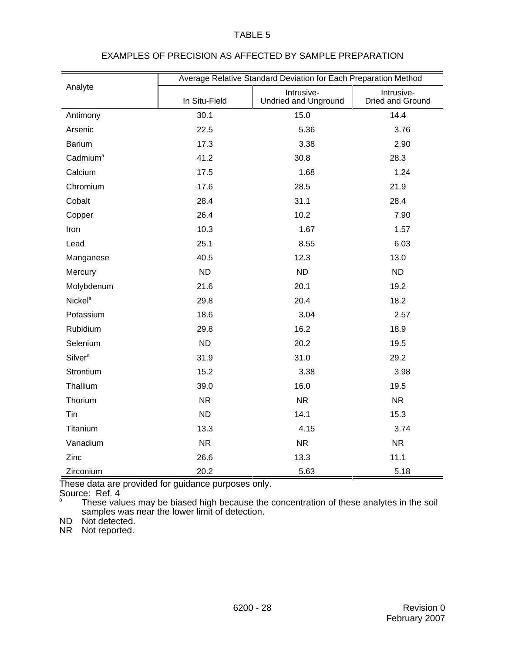|                      | Average Relative Standard Deviation for Each Preparation Method |                                    |                                |  |  |  |  |  |
|----------------------|-----------------------------------------------------------------|------------------------------------|--------------------------------|--|--|--|--|--|
| Analyte              | In Situ-Field                                                   | Intrusive-<br>Undried and Unground | Intrusive-<br>Dried and Ground |  |  |  |  |  |
| Antimony             | 30.1                                                            | 15.0                               | 14.4                           |  |  |  |  |  |
| Arsenic              | 22.5                                                            | 5.36                               | 3.76                           |  |  |  |  |  |
| <b>Barium</b>        | 17.3                                                            | 3.38                               | 2.90                           |  |  |  |  |  |
| Cadmium <sup>a</sup> | 41.2                                                            | 30.8                               | 28.3                           |  |  |  |  |  |
| Calcium              | 17.5                                                            | 1.68                               | 1.24                           |  |  |  |  |  |
| Chromium             | 17.6                                                            | 28.5                               | 21.9                           |  |  |  |  |  |
| Cobalt               | 28.4                                                            | 31.1                               |                                |  |  |  |  |  |
| Copper               | 26.4                                                            | 10.2                               |                                |  |  |  |  |  |
| Iron                 | 10.3                                                            | 1.67                               | 1.57                           |  |  |  |  |  |
| Lead                 | 25.1                                                            | 8.55                               | 6.03                           |  |  |  |  |  |
| Manganese            | 40.5                                                            | 12.3                               | 13.0                           |  |  |  |  |  |
| Mercury              | <b>ND</b>                                                       | <b>ND</b>                          | <b>ND</b>                      |  |  |  |  |  |
| Molybdenum           | 21.6                                                            | 20.1                               | 19.2                           |  |  |  |  |  |
| Nickel <sup>a</sup>  | 29.8                                                            | 20.4                               | 18.2                           |  |  |  |  |  |
| Potassium            | 18.6                                                            | 3.04                               | 2.57                           |  |  |  |  |  |
| Rubidium             | 29.8                                                            | 16.2                               | 18.9                           |  |  |  |  |  |
| Selenium             | <b>ND</b>                                                       | 20.2                               | 19.5                           |  |  |  |  |  |
| Silver <sup>a</sup>  | 31.9                                                            | 31.0                               | 29.2                           |  |  |  |  |  |
| Strontium            | 15.2                                                            | 3.38                               | 3.98                           |  |  |  |  |  |
| Thallium             | 39.0                                                            | 16.0                               | 19.5                           |  |  |  |  |  |
| Thorium              | <b>NR</b>                                                       | N <sub>R</sub>                     | <b>NR</b>                      |  |  |  |  |  |
| Tin                  | <b>ND</b>                                                       | 14.1                               | 15.3                           |  |  |  |  |  |
| Titanium             | 13.3                                                            | 4.15                               | 3.74                           |  |  |  |  |  |
| Vanadium             | <b>NR</b>                                                       | <b>NR</b>                          | <b>NR</b>                      |  |  |  |  |  |
| Zinc                 | 26.6                                                            | 13.3                               | 11.1                           |  |  |  |  |  |
| Zirconium            | 20.2                                                            | 5.63                               | 5.18                           |  |  |  |  |  |

# EXAMPLES OF PRECISION AS AFFECTED BY SAMPLE PREPARATION

These data are provided for guidance purposes only.

Source:  $\text{Ref. 4}$ 

<sup>a</sup> These values may be biased high because the concentration of these analytes in the soil samples was near the lower limit of detection.

ND Not detected.

NR Not reported.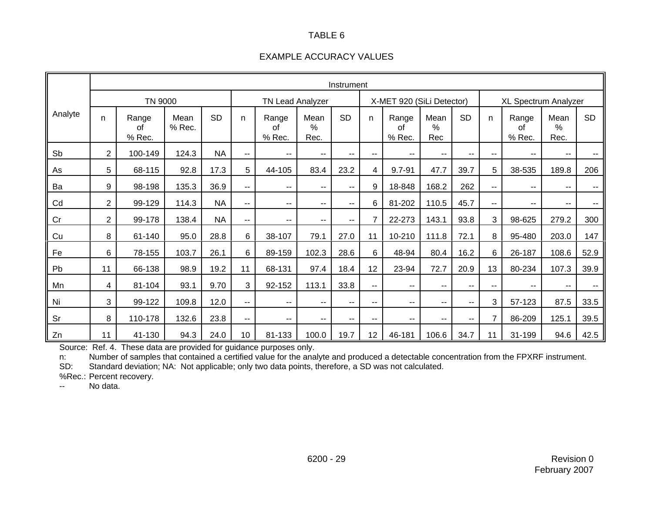# EXAMPLE ACCURACY VALUES

|            |                | Instrument            |                |           |    |                                               |                               |                          |                          |                       |                          |                          |                      |                       |                      |           |
|------------|----------------|-----------------------|----------------|-----------|----|-----------------------------------------------|-------------------------------|--------------------------|--------------------------|-----------------------|--------------------------|--------------------------|----------------------|-----------------------|----------------------|-----------|
|            |                | TN 9000               |                |           |    | X-MET 920 (SiLi Detector)<br>TN Lead Analyzer |                               |                          |                          |                       |                          |                          | XL Spectrum Analyzer |                       |                      |           |
| Analyte    | n              | Range<br>0f<br>% Rec. | Mean<br>% Rec. | <b>SD</b> | n  | Range<br>0f<br>% Rec.                         | Mean<br>$\frac{0}{0}$<br>Rec. | <b>SD</b>                | n                        | Range<br>0f<br>% Rec. | Mean<br>$\%$<br>Rec      | <b>SD</b>                | n.                   | Range<br>0f<br>% Rec. | Mean<br>$\%$<br>Rec. | <b>SD</b> |
| Sb         | $\overline{2}$ | 100-149               | 124.3          | <b>NA</b> | -- | ۰.                                            | $\overline{\phantom{a}}$      | $\overline{\phantom{a}}$ | $\qquad \qquad -$        | --                    | $\overline{\phantom{m}}$ | $\sim$                   | $\sim$               | $-$                   | $\sim$               | --        |
| As         | 5              | 68-115                | 92.8           | 17.3      | 5  | 44-105                                        | 83.4                          | 23.2                     | 4                        | 9.7-91                | 47.7                     | 39.7                     | 5                    | 38-535                | 189.8                | 206       |
| Ba         | 9              | 98-198                | 135.3          | 36.9      | ۰. | --                                            | --                            | $\overline{\phantom{a}}$ | 9                        | 18-848                | 168.2                    | 262                      | --                   | --                    | $\sim$               | --        |
| Cd         | $\overline{2}$ | 99-129                | 114.3          | <b>NA</b> | -- | --                                            | $-$                           | --                       | 6                        | 81-202                | 110.5                    | 45.7                     | $-1$                 | $- -$                 | --                   |           |
| Cr         | $\overline{2}$ | 99-178                | 138.4          | <b>NA</b> | -- | $\overline{\phantom{a}}$                      | $\sim$ $\sim$                 | $\overline{\phantom{a}}$ | $\overline{7}$           | 22-273                | 143.1                    | 93.8                     | 3                    | 98-625                | 279.2                | 300       |
| Cu         | 8              | 61-140                | 95.0           | 28.8      | 6  | 38-107                                        | 79.1                          | 27.0                     | 11                       | 10-210                | 111.8                    | 72.1                     | 8                    | 95-480                | 203.0                | 147       |
| Fe         | 6              | 78-155                | 103.7          | 26.1      | 6  | 89-159                                        | 102.3                         | 28.6                     | 6                        | 48-94                 | 80.4                     | 16.2                     | 6                    | 26-187                | 108.6                | 52.9      |
| Pb         | 11             | 66-138                | 98.9           | 19.2      | 11 | 68-131                                        | 97.4                          | 18.4                     | 12                       | 23-94                 | 72.7                     | 20.9                     | 13                   | 80-234                | 107.3                | 39.9      |
| Mn         | 4              | 81-104                | 93.1           | 9.70      | 3  | 92-152                                        | 113.1                         | 33.8                     | $\overline{\phantom{a}}$ | --                    | $-1$                     | $\overline{\phantom{a}}$ | $-1$                 | --                    | $\sim$               | --        |
| Ni         | 3              | 99-122                | 109.8          | 12.0      | -- | $\overline{\phantom{a}}$                      | $\sim$ $\sim$                 | $\sim$ $\sim$            | --                       | --                    | --                       | $\sim$                   | 3                    | 57-123                | 87.5                 | 33.5      |
| Sr         | 8              | 110-178               | 132.6          | 23.8      | -- | $\overline{\phantom{a}}$                      | $\sim$                        | --                       | --                       | --                    | --                       | $\sim$ $\sim$            | 7                    | 86-209                | 125.1                | 39.5      |
| $\vert$ Zn | 11             | 41-130                | 94.3           | 24.0      | 10 | 81-133                                        | 100.0                         | 19.7                     | 12 <sup>7</sup>          | 46-181                | 106.6                    | 34.7                     | 11                   | 31-199                | 94.6                 | 42.5      |

Source: Ref. 4. These data are provided for guidance purposes only.

n: Number of samples that contained a certified value for the analyte and produced a detectable concentration from the FPXRF instrument.

SD: Standard deviation; NA: Not applicable; only two data points, therefore, a SD was not calculated.

%Rec.: Percent recovery.

--No data.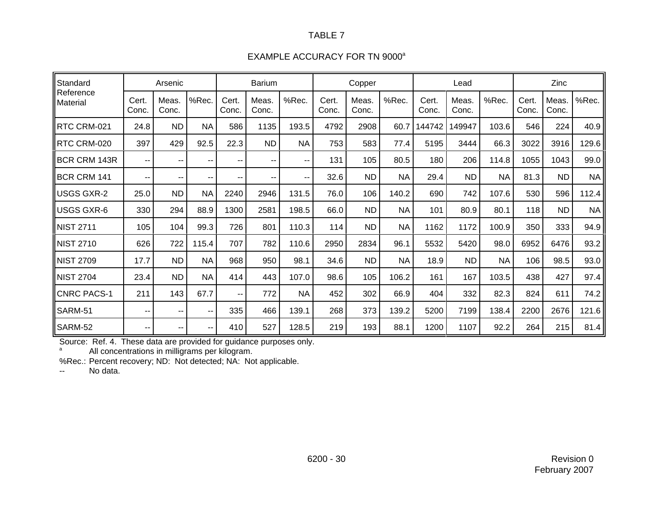# EXAMPLE ACCURACY FOR TN 9000<sup>a</sup>

| Standard              |                          | Arsenic                  |                   |                | <b>Barium</b>  |           |                | Copper         |           |                | Lead           |           | Zinc           |                |           |
|-----------------------|--------------------------|--------------------------|-------------------|----------------|----------------|-----------|----------------|----------------|-----------|----------------|----------------|-----------|----------------|----------------|-----------|
| Reference<br>Material | Cert.<br>Conc.           | Meas.<br>Conc.           | %Rec.             | Cert.<br>Conc. | Meas.<br>Conc. | %Rec.     | Cert.<br>Conc. | Meas.<br>Conc. | %Rec.     | Cert.<br>Conc. | Meas.<br>Conc. | %Rec.     | Cert.<br>Conc. | Meas.<br>Conc. | %Rec.     |
| RTC CRM-021           | 24.8                     | <b>ND</b>                | NA.               | 586            | 1135           | 193.5     | 4792           | 2908           | 60.7      | 144742         | 149947         | 103.6     | 546            | 224            | 40.9      |
| RTC CRM-020           | 397                      | 429                      | 92.5              | 22.3           | <b>ND</b>      | <b>NA</b> | 753            | 583            | 77.4      | 5195           | 3444           | 66.3      | 3022           | 3916           | 129.6     |
| <b>BCR CRM 143R</b>   | $\overline{\phantom{m}}$ | $\overline{\phantom{m}}$ | $- -$             | --             | $- -$          | --        | 131            | 105            | 80.5      | 180            | 206            | 114.8     | 1055           | 1043           | 99.0      |
| BCR CRM 141           | --                       | --                       | --                | --             |                | ۰.        | 32.6           | <b>ND</b>      | <b>NA</b> | 29.4           | <b>ND</b>      | <b>NA</b> | 81.3           | <b>ND</b>      | <b>NA</b> |
| <b>USGS GXR-2</b>     | 25.0                     | ND.                      | <b>NA</b>         | 2240           | 2946           | 131.5     | 76.0           | 106            | 140.2     | 690            | 742            | 107.6     | 530            | 596            | 112.4     |
| <b>USGS GXR-6</b>     | 330                      | 294                      | 88.9              | 1300           | 2581           | 198.5     | 66.0           | <b>ND</b>      | <b>NA</b> | 101            | 80.9           | 80.1      | 118            | <b>ND</b>      | NA        |
| <b>NIST 2711</b>      | 105                      | 104                      | 99.3              | 726            | 801            | 110.3     | 114            | <b>ND</b>      | <b>NA</b> | 1162           | 1172           | 100.9     | 350            | 333            | 94.9      |
| <b>NIST 2710</b>      | 626                      | 722                      | 115.4             | 707            | 782            | 110.6     | 2950           | 2834           | 96.1      | 5532           | 5420           | 98.0      | 6952           | 6476           | 93.2      |
| <b>NIST 2709</b>      | 17.7                     | <b>ND</b>                | <b>NA</b>         | 968            | 950            | 98.1      | 34.6           | <b>ND</b>      | <b>NA</b> | 18.9           | <b>ND</b>      | <b>NA</b> | 106            | 98.5           | 93.0      |
| <b>NIST 2704</b>      | 23.4                     | <b>ND</b>                | <b>NA</b>         | 414            | 443            | 107.0     | 98.6           | 105            | 106.2     | 161            | 167            | 103.5     | 438            | 427            | 97.4      |
| <b>CNRC PACS-1</b>    | 211                      | 143                      | 67.7              | $- -$          | 772            | <b>NA</b> | 452            | 302            | 66.9      | 404            | 332            | 82.3      | 824            | 611            | 74.2      |
| SARM-51               | $\qquad \qquad -$        | $\overline{\phantom{m}}$ | $\sim$ $\sim$     | 335            | 466            | 139.1     | 268            | 373            | 139.2     | 5200           | 7199           | 138.4     | 2200           | 2676           | 121.6     |
| SARM-52               | $\overline{\phantom{m}}$ | --                       | $\qquad \qquad -$ | 410            | 527            | 128.5     | 219            | 193            | 88.1      | 1200           | 1107           | 92.2      | 264            | 215            | 81.4      |

Source: Ref. 4. These data are provided for guidance purposes only.

<sup>a</sup> All concentrations in milligrams per kilogram.

%Rec.: Percent recovery; ND: Not detected; NA: Not applicable.

--No data.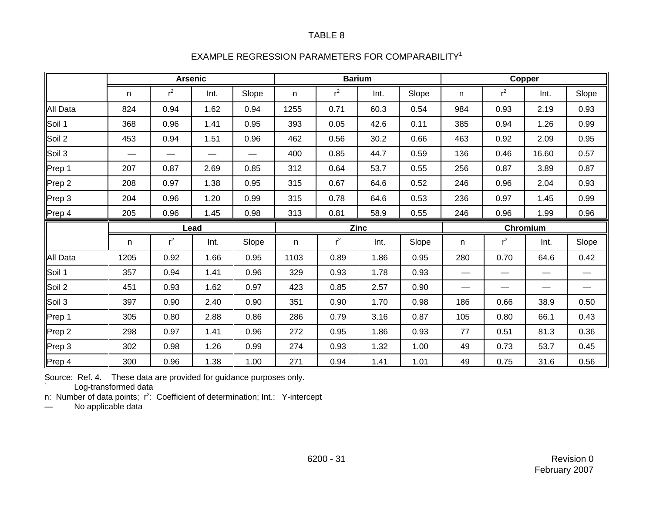| EXAMPLE REGRESSION PARAMETERS FOR COMPARABILITY <sup>1</sup> |
|--------------------------------------------------------------|
|--------------------------------------------------------------|

|                   | <b>Arsenic</b> |       |      |       | <b>Barium</b> |       |             |       | Copper                   |       |          |       |
|-------------------|----------------|-------|------|-------|---------------|-------|-------------|-------|--------------------------|-------|----------|-------|
|                   | n              | $r^2$ | Int. | Slope | n             | $r^2$ | Int.        | Slope | n.                       | $r^2$ | Int.     | Slope |
| All Data          | 824            | 0.94  | 1.62 | 0.94  | 1255          | 0.71  | 60.3        | 0.54  | 984                      | 0.93  | 2.19     | 0.93  |
| Soil 1            | 368            | 0.96  | 1.41 | 0.95  | 393           | 0.05  | 42.6        | 0.11  | 385                      | 0.94  | 1.26     | 0.99  |
| Soil 2            | 453            | 0.94  | 1.51 | 0.96  | 462           | 0.56  | 30.2        | 0.66  | 463                      | 0.92  | 2.09     | 0.95  |
| Soil 3            | —              |       | —    |       | 400           | 0.85  | 44.7        | 0.59  | 136                      | 0.46  | 16.60    | 0.57  |
| Prep 1            | 207            | 0.87  | 2.69 | 0.85  | 312           | 0.64  | 53.7        | 0.55  | 256                      | 0.87  | 3.89     | 0.87  |
| Prep 2            | 208            | 0.97  | 1.38 | 0.95  | 315           | 0.67  | 64.6        | 0.52  | 246                      | 0.96  | 2.04     | 0.93  |
| Prep 3            | 204            | 0.96  | 1.20 | 0.99  | 315           | 0.78  | 64.6        | 0.53  | 236                      | 0.97  | 1.45     | 0.99  |
| Prep 4            | 205            | 0.96  | 1.45 | 0.98  | 313           | 0.81  | 58.9        | 0.55  | 246                      | 0.96  | 1.99     | 0.96  |
|                   |                |       |      |       |               |       |             |       |                          |       |          |       |
|                   |                |       | Lead |       |               |       | <b>Zinc</b> |       |                          |       | Chromium |       |
|                   | n              | $r^2$ | Int. | Slope | n             | $r^2$ | Int.        | Slope | n.                       | $r^2$ | Int.     | Slope |
| All Data          | 1205           | 0.92  | 1.66 | 0.95  | 1103          | 0.89  | 1.86        | 0.95  | 280                      | 0.70  | 64.6     | 0.42  |
| Soil 1            | 357            | 0.94  | 1.41 | 0.96  | 329           | 0.93  | 1.78        | 0.93  | $\overline{\phantom{0}}$ |       |          |       |
| Soil <sub>2</sub> | 451            | 0.93  | 1.62 | 0.97  | 423           | 0.85  | 2.57        | 0.90  | —                        |       |          |       |
| Soil 3            | 397            | 0.90  | 2.40 | 0.90  | 351           | 0.90  | 1.70        | 0.98  | 186                      | 0.66  | 38.9     | 0.50  |
| Prep 1            | 305            | 0.80  | 2.88 | 0.86  | 286           | 0.79  | 3.16        | 0.87  | 105                      | 0.80  | 66.1     | 0.43  |
| Prep 2            | 298            | 0.97  | 1.41 | 0.96  | 272           | 0.95  | 1.86        | 0.93  | 77                       | 0.51  | 81.3     | 0.36  |
| Prep 3            | 302            | 0.98  | 1.26 | 0.99  | 274           | 0.93  | 1.32        | 1.00  | 49                       | 0.73  | 53.7     | 0.45  |

Source: Ref. 4. These data are provided for guidance purposes only.<br>1 l.es.transfermed.date

 $^{\text{\tiny{\textsf{1}}} \text{\color{black}}$  Log-transformed data

n: Number of data points; r<sup>2</sup>: Coefficient of determination; Int.: Y-intercept

—No applicable data